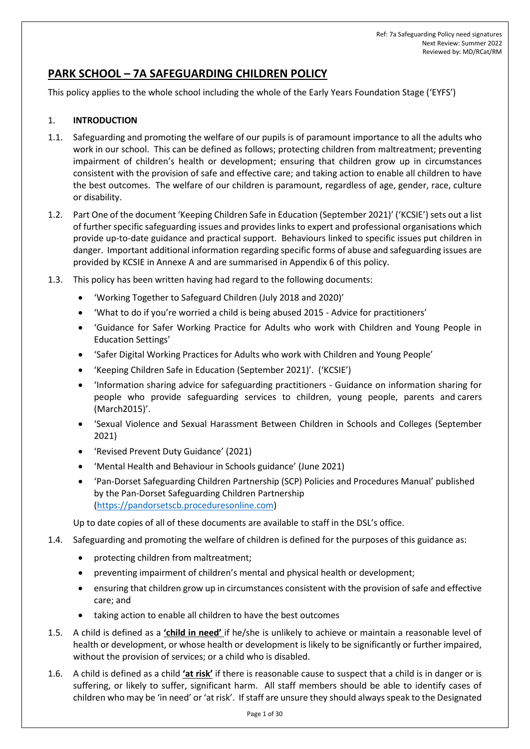## **PARK SCHOOL – 7A SAFEGUARDING CHILDREN POLICY**

This policy applies to the whole school including the whole of the Early Years Foundation Stage ('EYFS')

#### 1. **INTRODUCTION**

- 1.1. Safeguarding and promoting the welfare of our pupils is of paramount importance to all the adults who work in our school. This can be defined as follows; protecting children from maltreatment; preventing impairment of children's health or development; ensuring that children grow up in circumstances consistent with the provision of safe and effective care; and taking action to enable all children to have the best outcomes. The welfare of our children is paramount, regardless of age, gender, race, culture or disability.
- 1.2. Part One of the document 'Keeping Children Safe in Education (September 2021)' ('KCSIE') sets out a list of further specific safeguarding issues and provides links to expert and professional organisations which provide up-to-date guidance and practical support. Behaviours linked to specific issues put children in danger. Important additional information regarding specific forms of abuse and safeguarding issues are provided by KCSIE in Annexe A and are summarised in Appendix 6 of this policy.
- 1.3. This policy has been written having had regard to the following documents:
	- 'Working Together to Safeguard Children (July 2018 and 2020)'
	- 'What to do if you're worried a child is being abused 2015 Advice for practitioners'
	- 'Guidance for Safer Working Practice for Adults who work with Children and Young People in Education Settings'
	- 'Safer Digital Working Practices for Adults who work with Children and Young People'
	- 'Keeping Children Safe in Education (September 2021)'. ('KCSIE')
	- 'Information sharing advice for safeguarding practitioners Guidance on information sharing for people who provide safeguarding services to children, young people, parents and carers (March2015)'.
	- 'Sexual Violence and Sexual Harassment Between Children in Schools and Colleges (September 2021)
	- 'Revised Prevent Duty Guidance' (2021)
	- 'Mental Health and Behaviour in Schools guidance' (June 2021)
	- 'Pan-Dorset Safeguarding Children Partnership (SCP) Policies and Procedures Manual' published by the Pan-Dorset Safeguarding Children Partnership [\(https://pandorsetscb.proceduresonline.com\)](https://pandorsetscb.proceduresonline.com/)

Up to date copies of all of these documents are available to staff in the DSL's office.

- 1.4. Safeguarding and promoting the welfare of children is defined for the purposes of this guidance as:
	- protecting children from maltreatment;
	- preventing impairment of children's mental and physical health or development;
	- ensuring that children grow up in circumstances consistent with the provision of safe and effective care; and
	- taking action to enable all children to have the best outcomes
- 1.5. A child is defined as a **'child in need'** if he/she is unlikely to achieve or maintain a reasonable level of health or development, or whose health or development is likely to be significantly or further impaired, without the provision of services; or a child who is disabled.
- 1.6. A child is defined as a child **'at risk'** if there is reasonable cause to suspect that a child is in danger or is suffering, or likely to suffer, significant harm. All staff members should be able to identify cases of children who may be 'in need' or 'at risk'. If staff are unsure they should always speak to the Designated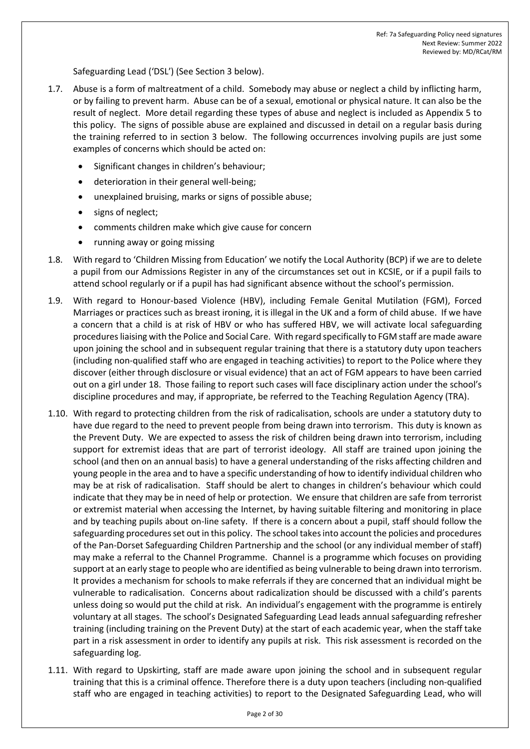Safeguarding Lead ('DSL') (See Section 3 below).

- 1.7. Abuse is a form of maltreatment of a child. Somebody may abuse or neglect a child by inflicting harm, or by failing to prevent harm. Abuse can be of a sexual, emotional or physical nature. It can also be the result of neglect. More detail regarding these types of abuse and neglect is included as Appendix 5 to this policy. The signs of possible abuse are explained and discussed in detail on a regular basis during the training referred to in section 3 below. The following occurrences involving pupils are just some examples of concerns which should be acted on:
	- Significant changes in children's behaviour;
	- deterioration in their general well-being;
	- unexplained bruising, marks or signs of possible abuse;
	- signs of neglect;
	- comments children make which give cause for concern
	- running away or going missing
- 1.8. With regard to 'Children Missing from Education' we notify the Local Authority (BCP) if we are to delete a pupil from our Admissions Register in any of the circumstances set out in KCSIE, or if a pupil fails to attend school regularly or if a pupil has had significant absence without the school's permission.
- 1.9. With regard to Honour-based Violence (HBV), including Female Genital Mutilation (FGM), Forced Marriages or practices such as breast ironing, it is illegal in the UK and a form of child abuse. If we have a concern that a child is at risk of HBV or who has suffered HBV, we will activate local safeguarding procedures liaising with the Police and Social Care. With regard specifically to FGM staff are made aware upon joining the school and in subsequent regular training that there is a statutory duty upon teachers (including non-qualified staff who are engaged in teaching activities) to report to the Police where they discover (either through disclosure or visual evidence) that an act of FGM appears to have been carried out on a girl under 18. Those failing to report such cases will face disciplinary action under the school's discipline procedures and may, if appropriate, be referred to the Teaching Regulation Agency (TRA).
- 1.10. With regard to protecting children from the risk of radicalisation, schools are under a statutory duty to have due regard to the need to prevent people from being drawn into terrorism. This duty is known as the Prevent Duty. We are expected to assess the risk of children being drawn into terrorism, including support for extremist ideas that are part of terrorist ideology. All staff are trained upon joining the school (and then on an annual basis) to have a general understanding of the risks affecting children and young people in the area and to have a specific understanding of how to identify individual children who may be at risk of radicalisation. Staff should be alert to changes in children's behaviour which could indicate that they may be in need of help or protection. We ensure that children are safe from terrorist or extremist material when accessing the Internet, by having suitable filtering and monitoring in place and by teaching pupils about on-line safety. If there is a concern about a pupil, staff should follow the safeguarding procedures set out in this policy. The school takes into account the policies and procedures of the Pan-Dorset Safeguarding Children Partnership and the school (or any individual member of staff) may make a referral to the Channel Programme. Channel is a programme which focuses on providing support at an early stage to people who are identified as being vulnerable to being drawn into terrorism. It provides a mechanism for schools to make referrals if they are concerned that an individual might be vulnerable to radicalisation. Concerns about radicalization should be discussed with a child's parents unless doing so would put the child at risk. An individual's engagement with the programme is entirely voluntary at all stages. The school's Designated Safeguarding Lead leads annual safeguarding refresher training (including training on the Prevent Duty) at the start of each academic year, when the staff take part in a risk assessment in order to identify any pupils at risk. This risk assessment is recorded on the safeguarding log.
- 1.11. With regard to Upskirting, staff are made aware upon joining the school and in subsequent regular training that this is a criminal offence. Therefore there is a duty upon teachers (including non-qualified staff who are engaged in teaching activities) to report to the Designated Safeguarding Lead, who will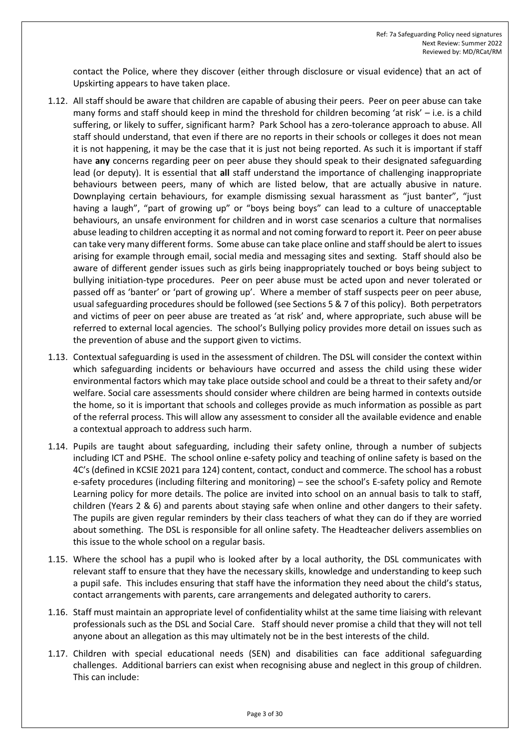contact the Police, where they discover (either through disclosure or visual evidence) that an act of Upskirting appears to have taken place.

- 1.12. All staff should be aware that children are capable of abusing their peers. Peer on peer abuse can take many forms and staff should keep in mind the threshold for children becoming 'at risk' – i.e. is a child suffering, or likely to suffer, significant harm? Park School has a zero-tolerance approach to abuse. All staff should understand, that even if there are no reports in their schools or colleges it does not mean it is not happening, it may be the case that it is just not being reported. As such it is important if staff have **any** concerns regarding peer on peer abuse they should speak to their designated safeguarding lead (or deputy). It is essential that **all** staff understand the importance of challenging inappropriate behaviours between peers, many of which are listed below, that are actually abusive in nature. Downplaying certain behaviours, for example dismissing sexual harassment as "just banter", "just having a laugh", "part of growing up" or "boys being boys" can lead to a culture of unacceptable behaviours, an unsafe environment for children and in worst case scenarios a culture that normalises abuse leading to children accepting it as normal and not coming forward to report it. Peer on peer abuse can take very many different forms. Some abuse can take place online and staff should be alert to issues arising for example through email, social media and messaging sites and sexting. Staff should also be aware of different gender issues such as girls being inappropriately touched or boys being subject to bullying initiation-type procedures. Peer on peer abuse must be acted upon and never tolerated or passed off as 'banter' or 'part of growing up'. Where a member of staff suspects peer on peer abuse, usual safeguarding procedures should be followed (see Sections 5 & 7 of this policy). Both perpetrators and victims of peer on peer abuse are treated as 'at risk' and, where appropriate, such abuse will be referred to external local agencies. The school's Bullying policy provides more detail on issues such as the prevention of abuse and the support given to victims.
- 1.13. Contextual safeguarding is used in the assessment of children. The DSL will consider the context within which safeguarding incidents or behaviours have occurred and assess the child using these wider environmental factors which may take place outside school and could be a threat to their safety and/or welfare. Social care assessments should consider where children are being harmed in contexts outside the home, so it is important that schools and colleges provide as much information as possible as part of the referral process. This will allow any assessment to consider all the available evidence and enable a contextual approach to address such harm.
- 1.14. Pupils are taught about safeguarding, including their safety online, through a number of subjects including ICT and PSHE. The school online e-safety policy and teaching of online safety is based on the 4C's (defined in KCSIE 2021 para 124) content, contact, conduct and commerce. The school has a robust e-safety procedures (including filtering and monitoring) – see the school's E-safety policy and Remote Learning policy for more details. The police are invited into school on an annual basis to talk to staff, children (Years 2 & 6) and parents about staying safe when online and other dangers to their safety. The pupils are given regular reminders by their class teachers of what they can do if they are worried about something. The DSL is responsible for all online safety. The Headteacher delivers assemblies on this issue to the whole school on a regular basis.
- 1.15. Where the school has a pupil who is looked after by a local authority, the DSL communicates with relevant staff to ensure that they have the necessary skills, knowledge and understanding to keep such a pupil safe. This includes ensuring that staff have the information they need about the child's status, contact arrangements with parents, care arrangements and delegated authority to carers.
- 1.16. Staff must maintain an appropriate level of confidentiality whilst at the same time liaising with relevant professionals such as the DSL and Social Care. Staff should never promise a child that they will not tell anyone about an allegation as this may ultimately not be in the best interests of the child.
- 1.17. Children with special educational needs (SEN) and disabilities can face additional safeguarding challenges. Additional barriers can exist when recognising abuse and neglect in this group of children. This can include: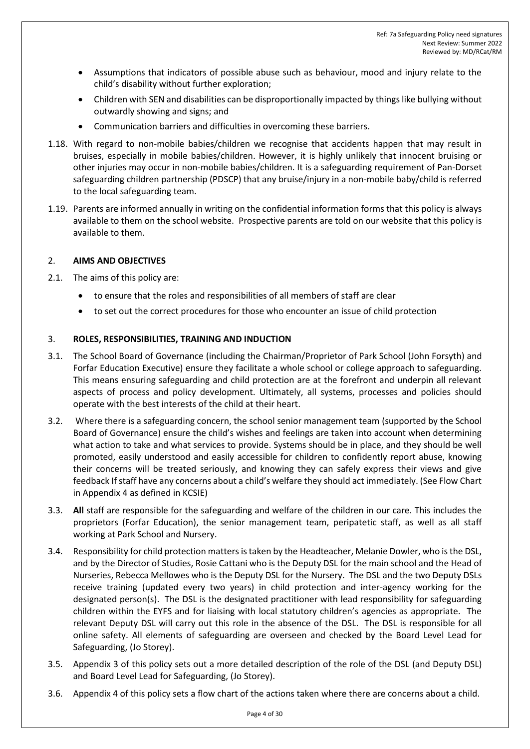- Assumptions that indicators of possible abuse such as behaviour, mood and injury relate to the child's disability without further exploration;
- Children with SEN and disabilities can be disproportionally impacted by things like bullying without outwardly showing and signs; and
- Communication barriers and difficulties in overcoming these barriers.
- 1.18. With regard to non-mobile babies/children we recognise that accidents happen that may result in bruises, especially in mobile babies/children. However, it is highly unlikely that innocent bruising or other injuries may occur in non-mobile babies/children. It is a safeguarding requirement of Pan-Dorset safeguarding children partnership (PDSCP) that any bruise/injury in a non-mobile baby/child is referred to the local safeguarding team.
- 1.19. Parents are informed annually in writing on the confidential information forms that this policy is always available to them on the school website. Prospective parents are told on our website that this policy is available to them.

#### 2. **AIMS AND OBJECTIVES**

- 2.1. The aims of this policy are:
	- to ensure that the roles and responsibilities of all members of staff are clear
	- to set out the correct procedures for those who encounter an issue of child protection

#### 3. **ROLES, RESPONSIBILITIES, TRAINING AND INDUCTION**

- 3.1. The School Board of Governance (including the Chairman/Proprietor of Park School (John Forsyth) and Forfar Education Executive) ensure they facilitate a whole school or college approach to safeguarding. This means ensuring safeguarding and child protection are at the forefront and underpin all relevant aspects of process and policy development. Ultimately, all systems, processes and policies should operate with the best interests of the child at their heart.
- 3.2. Where there is a safeguarding concern, the school senior management team (supported by the School Board of Governance) ensure the child's wishes and feelings are taken into account when determining what action to take and what services to provide. Systems should be in place, and they should be well promoted, easily understood and easily accessible for children to confidently report abuse, knowing their concerns will be treated seriously, and knowing they can safely express their views and give feedback If staff have any concerns about a child's welfare they should act immediately. (See Flow Chart in Appendix 4 as defined in KCSIE)
- 3.3. **All** staff are responsible for the safeguarding and welfare of the children in our care. This includes the proprietors (Forfar Education), the senior management team, peripatetic staff, as well as all staff working at Park School and Nursery.
- 3.4. Responsibility for child protection matters is taken by the Headteacher, Melanie Dowler, who is the DSL, and by the Director of Studies, Rosie Cattani who is the Deputy DSL for the main school and the Head of Nurseries, Rebecca Mellowes who is the Deputy DSL for the Nursery. The DSL and the two Deputy DSLs receive training (updated every two years) in child protection and inter-agency working for the designated person(s). The DSL is the designated practitioner with lead responsibility for safeguarding children within the EYFS and for liaising with local statutory children's agencies as appropriate. The relevant Deputy DSL will carry out this role in the absence of the DSL. The DSL is responsible for all online safety. All elements of safeguarding are overseen and checked by the Board Level Lead for Safeguarding, (Jo Storey).
- 3.5. Appendix 3 of this policy sets out a more detailed description of the role of the DSL (and Deputy DSL) and Board Level Lead for Safeguarding, (Jo Storey).
- 3.6. Appendix 4 of this policy sets a flow chart of the actions taken where there are concerns about a child.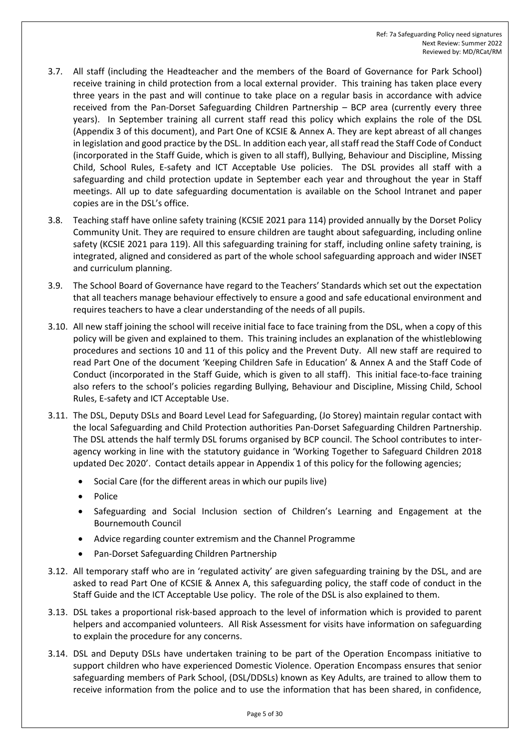- 3.7. All staff (including the Headteacher and the members of the Board of Governance for Park School) receive training in child protection from a local external provider. This training has taken place every three years in the past and will continue to take place on a regular basis in accordance with advice received from the Pan-Dorset Safeguarding Children Partnership – BCP area (currently every three years). In September training all current staff read this policy which explains the role of the DSL (Appendix 3 of this document), and Part One of KCSIE & Annex A. They are kept abreast of all changes in legislation and good practice by the DSL. In addition each year, all staff read the Staff Code of Conduct (incorporated in the Staff Guide, which is given to all staff), Bullying, Behaviour and Discipline, Missing Child, School Rules, E-safety and ICT Acceptable Use policies. The DSL provides all staff with a safeguarding and child protection update in September each year and throughout the year in Staff meetings. All up to date safeguarding documentation is available on the School Intranet and paper copies are in the DSL's office.
- 3.8. Teaching staff have online safety training (KCSIE 2021 para 114) provided annually by the Dorset Policy Community Unit. They are required to ensure children are taught about safeguarding, including online safety (KCSIE 2021 para 119). All this safeguarding training for staff, including online safety training, is integrated, aligned and considered as part of the whole school safeguarding approach and wider INSET and curriculum planning.
- 3.9. The School Board of Governance have regard to the Teachers' Standards which set out the expectation that all teachers manage behaviour effectively to ensure a good and safe educational environment and requires teachers to have a clear understanding of the needs of all pupils.
- 3.10. All new staff joining the school will receive initial face to face training from the DSL, when a copy of this policy will be given and explained to them. This training includes an explanation of the whistleblowing procedures and sections 10 and 11 of this policy and the Prevent Duty. All new staff are required to read Part One of the document 'Keeping Children Safe in Education' & Annex A and the Staff Code of Conduct (incorporated in the Staff Guide, which is given to all staff). This initial face-to-face training also refers to the school's policies regarding Bullying, Behaviour and Discipline, Missing Child, School Rules, E-safety and ICT Acceptable Use.
- 3.11. The DSL, Deputy DSLs and Board Level Lead for Safeguarding, (Jo Storey) maintain regular contact with the local Safeguarding and Child Protection authorities Pan-Dorset Safeguarding Children Partnership. The DSL attends the half termly DSL forums organised by BCP council. The School contributes to interagency working in line with the statutory guidance in 'Working Together to Safeguard Children 2018 updated Dec 2020'. Contact details appear in Appendix 1 of this policy for the following agencies;
	- Social Care (for the different areas in which our pupils live)
	- Police
	- Safeguarding and Social Inclusion section of Children's Learning and Engagement at the Bournemouth Council
	- Advice regarding counter extremism and the Channel Programme
	- Pan-Dorset Safeguarding Children Partnership
- 3.12. All temporary staff who are in 'regulated activity' are given safeguarding training by the DSL, and are asked to read Part One of KCSIE & Annex A, this safeguarding policy, the staff code of conduct in the Staff Guide and the ICT Acceptable Use policy. The role of the DSL is also explained to them.
- 3.13. DSL takes a proportional risk-based approach to the level of information which is provided to parent helpers and accompanied volunteers. All Risk Assessment for visits have information on safeguarding to explain the procedure for any concerns.
- 3.14. DSL and Deputy DSLs have undertaken training to be part of the Operation Encompass initiative to support children who have experienced Domestic Violence. Operation Encompass ensures that senior safeguarding members of Park School, (DSL/DDSLs) known as Key Adults, are trained to allow them to receive information from the police and to use the information that has been shared, in confidence,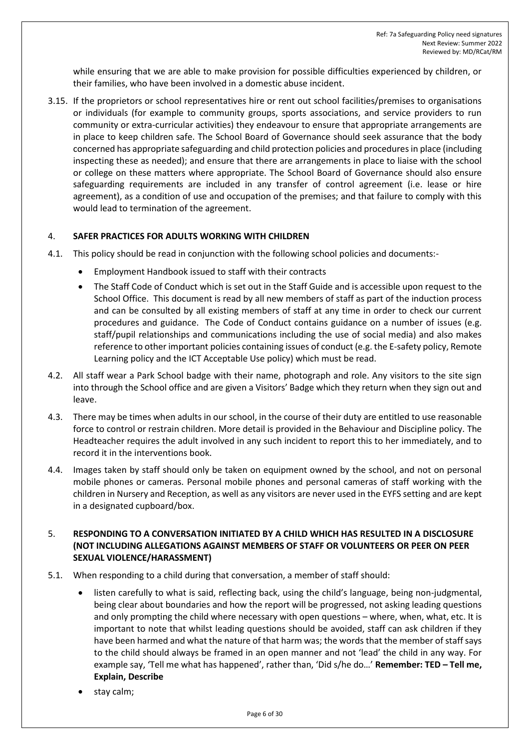while ensuring that we are able to make provision for possible difficulties experienced by children, or their families, who have been involved in a domestic abuse incident.

3.15. If the proprietors or school representatives hire or rent out school facilities/premises to organisations or individuals (for example to community groups, sports associations, and service providers to run community or extra-curricular activities) they endeavour to ensure that appropriate arrangements are in place to keep children safe. The School Board of Governance should seek assurance that the body concerned has appropriate safeguarding and child protection policies and procedures in place (including inspecting these as needed); and ensure that there are arrangements in place to liaise with the school or college on these matters where appropriate. The School Board of Governance should also ensure safeguarding requirements are included in any transfer of control agreement (i.e. lease or hire agreement), as a condition of use and occupation of the premises; and that failure to comply with this would lead to termination of the agreement.

#### 4. **SAFER PRACTICES FOR ADULTS WORKING WITH CHILDREN**

- 4.1. This policy should be read in conjunction with the following school policies and documents:-
	- Employment Handbook issued to staff with their contracts
	- The Staff Code of Conduct which is set out in the Staff Guide and is accessible upon request to the School Office. This document is read by all new members of staff as part of the induction process and can be consulted by all existing members of staff at any time in order to check our current procedures and guidance. The Code of Conduct contains guidance on a number of issues (e.g. staff/pupil relationships and communications including the use of social media) and also makes reference to other important policies containing issues of conduct (e.g. the E-safety policy, Remote Learning policy and the ICT Acceptable Use policy) which must be read.
- 4.2. All staff wear a Park School badge with their name, photograph and role. Any visitors to the site sign into through the School office and are given a Visitors' Badge which they return when they sign out and leave.
- 4.3. There may be times when adults in our school, in the course of their duty are entitled to use reasonable force to control or restrain children. More detail is provided in the Behaviour and Discipline policy. The Headteacher requires the adult involved in any such incident to report this to her immediately, and to record it in the interventions book.
- 4.4. Images taken by staff should only be taken on equipment owned by the school, and not on personal mobile phones or cameras. Personal mobile phones and personal cameras of staff working with the children in Nursery and Reception, as well as any visitors are never used in the EYFS setting and are kept in a designated cupboard/box.

#### 5. **RESPONDING TO A CONVERSATION INITIATED BY A CHILD WHICH HAS RESULTED IN A DISCLOSURE (NOT INCLUDING ALLEGATIONS AGAINST MEMBERS OF STAFF OR VOLUNTEERS OR PEER ON PEER SEXUAL VIOLENCE/HARASSMENT)**

- 5.1. When responding to a child during that conversation, a member of staff should:
	- listen carefully to what is said, reflecting back, using the child's language, being non-judgmental, being clear about boundaries and how the report will be progressed, not asking leading questions and only prompting the child where necessary with open questions – where, when, what, etc. It is important to note that whilst leading questions should be avoided, staff can ask children if they have been harmed and what the nature of that harm was; the words that the member of staff says to the child should always be framed in an open manner and not 'lead' the child in any way. For example say, 'Tell me what has happened', rather than, 'Did s/he do…' **Remember: TED – Tell me, Explain, Describe**
	- stay calm;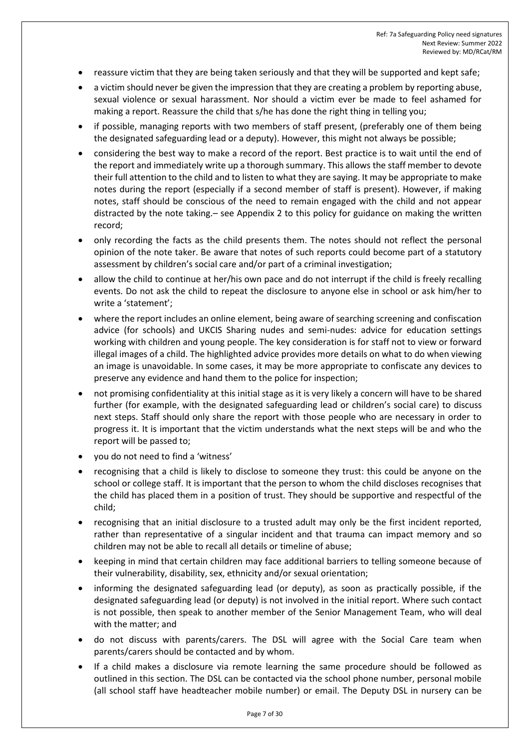- reassure victim that they are being taken seriously and that they will be supported and kept safe;
- a victim should never be given the impression that they are creating a problem by reporting abuse, sexual violence or sexual harassment. Nor should a victim ever be made to feel ashamed for making a report. Reassure the child that s/he has done the right thing in telling you;
- if possible, managing reports with two members of staff present, (preferably one of them being the designated safeguarding lead or a deputy). However, this might not always be possible;
- considering the best way to make a record of the report. Best practice is to wait until the end of the report and immediately write up a thorough summary. This allows the staff member to devote their full attention to the child and to listen to what they are saying. It may be appropriate to make notes during the report (especially if a second member of staff is present). However, if making notes, staff should be conscious of the need to remain engaged with the child and not appear distracted by the note taking.– see Appendix 2 to this policy for guidance on making the written record;
- only recording the facts as the child presents them. The notes should not reflect the personal opinion of the note taker. Be aware that notes of such reports could become part of a statutory assessment by children's social care and/or part of a criminal investigation;
- allow the child to continue at her/his own pace and do not interrupt if the child is freely recalling events. Do not ask the child to repeat the disclosure to anyone else in school or ask him/her to write a 'statement';
- where the report includes an online element, being aware of searching screening and confiscation advice (for schools) and UKCIS Sharing nudes and semi-nudes: advice for education settings working with children and young people. The key consideration is for staff not to view or forward illegal images of a child. The highlighted advice provides more details on what to do when viewing an image is unavoidable. In some cases, it may be more appropriate to confiscate any devices to preserve any evidence and hand them to the police for inspection;
- not promising confidentiality at this initial stage as it is very likely a concern will have to be shared further (for example, with the designated safeguarding lead or children's social care) to discuss next steps. Staff should only share the report with those people who are necessary in order to progress it. It is important that the victim understands what the next steps will be and who the report will be passed to;
- you do not need to find a 'witness'
- recognising that a child is likely to disclose to someone they trust: this could be anyone on the school or college staff. It is important that the person to whom the child discloses recognises that the child has placed them in a position of trust. They should be supportive and respectful of the child;
- recognising that an initial disclosure to a trusted adult may only be the first incident reported, rather than representative of a singular incident and that trauma can impact memory and so children may not be able to recall all details or timeline of abuse;
- keeping in mind that certain children may face additional barriers to telling someone because of their vulnerability, disability, sex, ethnicity and/or sexual orientation;
- informing the designated safeguarding lead (or deputy), as soon as practically possible, if the designated safeguarding lead (or deputy) is not involved in the initial report. Where such contact is not possible, then speak to another member of the Senior Management Team, who will deal with the matter; and
- do not discuss with parents/carers. The DSL will agree with the Social Care team when parents/carers should be contacted and by whom.
- If a child makes a disclosure via remote learning the same procedure should be followed as outlined in this section. The DSL can be contacted via the school phone number, personal mobile (all school staff have headteacher mobile number) or email. The Deputy DSL in nursery can be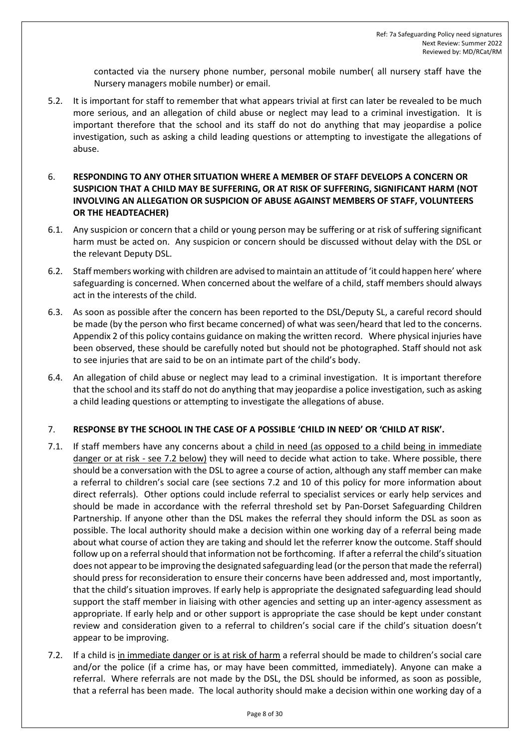contacted via the nursery phone number, personal mobile number( all nursery staff have the Nursery managers mobile number) or email.

5.2. It is important for staff to remember that what appears trivial at first can later be revealed to be much more serious, and an allegation of child abuse or neglect may lead to a criminal investigation. It is important therefore that the school and its staff do not do anything that may jeopardise a police investigation, such as asking a child leading questions or attempting to investigate the allegations of abuse.

#### 6. **RESPONDING TO ANY OTHER SITUATION WHERE A MEMBER OF STAFF DEVELOPS A CONCERN OR SUSPICION THAT A CHILD MAY BE SUFFERING, OR AT RISK OF SUFFERING, SIGNIFICANT HARM (NOT INVOLVING AN ALLEGATION OR SUSPICION OF ABUSE AGAINST MEMBERS OF STAFF, VOLUNTEERS OR THE HEADTEACHER)**

- 6.1. Any suspicion or concern that a child or young person may be suffering or at risk of suffering significant harm must be acted on. Any suspicion or concern should be discussed without delay with the DSL or the relevant Deputy DSL.
- 6.2. Staff members working with children are advised to maintain an attitude of 'it could happen here' where safeguarding is concerned. When concerned about the welfare of a child, staff members should always act in the interests of the child.
- 6.3. As soon as possible after the concern has been reported to the DSL/Deputy SL, a careful record should be made (by the person who first became concerned) of what was seen/heard that led to the concerns. Appendix 2 of this policy contains guidance on making the written record. Where physical injuries have been observed, these should be carefully noted but should not be photographed. Staff should not ask to see injuries that are said to be on an intimate part of the child's body.
- 6.4. An allegation of child abuse or neglect may lead to a criminal investigation. It is important therefore that the school and its staff do not do anything that may jeopardise a police investigation, such as asking a child leading questions or attempting to investigate the allegations of abuse.

#### 7. **RESPONSE BY THE SCHOOL IN THE CASE OF A POSSIBLE 'CHILD IN NEED' OR 'CHILD AT RISK'.**

- 7.1. If staff members have any concerns about a child in need (as opposed to a child being in immediate danger or at risk - see 7.2 below) they will need to decide what action to take. Where possible, there should be a conversation with the DSL to agree a course of action, although any staff member can make a referral to children's social care (see sections 7.2 and 10 of this policy for more information about direct referrals). Other options could include referral to specialist services or early help services and should be made in accordance with the referral threshold set by Pan-Dorset Safeguarding Children Partnership. If anyone other than the DSL makes the referral they should inform the DSL as soon as possible. The local authority should make a decision within one working day of a referral being made about what course of action they are taking and should let the referrer know the outcome. Staff should follow up on a referral should that information not be forthcoming. If after a referral the child's situation does not appear to be improving the designated safeguarding lead (or the person that made the referral) should press for reconsideration to ensure their concerns have been addressed and, most importantly, that the child's situation improves. If early help is appropriate the designated safeguarding lead should support the staff member in liaising with other agencies and setting up an inter-agency assessment as appropriate. If early help and or other support is appropriate the case should be kept under constant review and consideration given to a referral to children's social care if the child's situation doesn't appear to be improving.
- 7.2. If a child is in immediate danger or is at risk of harm a referral should be made to children's social care and/or the police (if a crime has, or may have been committed, immediately). Anyone can make a referral. Where referrals are not made by the DSL, the DSL should be informed, as soon as possible, that a referral has been made. The local authority should make a decision within one working day of a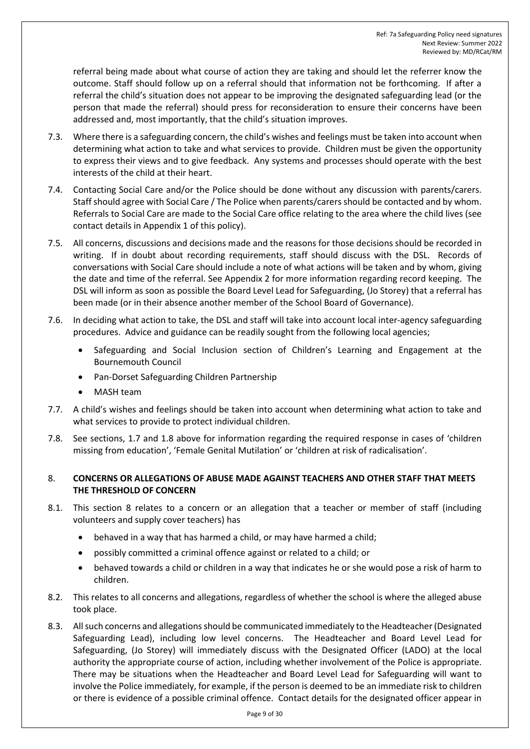referral being made about what course of action they are taking and should let the referrer know the outcome. Staff should follow up on a referral should that information not be forthcoming. If after a referral the child's situation does not appear to be improving the designated safeguarding lead (or the person that made the referral) should press for reconsideration to ensure their concerns have been addressed and, most importantly, that the child's situation improves.

- 7.3. Where there is a safeguarding concern, the child's wishes and feelings must be taken into account when determining what action to take and what services to provide. Children must be given the opportunity to express their views and to give feedback. Any systems and processes should operate with the best interests of the child at their heart.
- 7.4. Contacting Social Care and/or the Police should be done without any discussion with parents/carers. Staff should agree with Social Care / The Police when parents/carers should be contacted and by whom. Referrals to Social Care are made to the Social Care office relating to the area where the child lives (see contact details in Appendix 1 of this policy).
- 7.5. All concerns, discussions and decisions made and the reasons for those decisions should be recorded in writing. If in doubt about recording requirements, staff should discuss with the DSL. Records of conversations with Social Care should include a note of what actions will be taken and by whom, giving the date and time of the referral. See Appendix 2 for more information regarding record keeping. The DSL will inform as soon as possible the Board Level Lead for Safeguarding, (Jo Storey) that a referral has been made (or in their absence another member of the School Board of Governance).
- 7.6. In deciding what action to take, the DSL and staff will take into account local inter-agency safeguarding procedures. Advice and guidance can be readily sought from the following local agencies;
	- Safeguarding and Social Inclusion section of Children's Learning and Engagement at the Bournemouth Council
	- Pan-Dorset Safeguarding Children Partnership
	- MASH team
- 7.7. A child's wishes and feelings should be taken into account when determining what action to take and what services to provide to protect individual children.
- 7.8. See sections, 1.7 and 1.8 above for information regarding the required response in cases of 'children missing from education', 'Female Genital Mutilation' or 'children at risk of radicalisation'.

#### 8. **CONCERNS OR ALLEGATIONS OF ABUSE MADE AGAINST TEACHERS AND OTHER STAFF THAT MEETS THE THRESHOLD OF CONCERN**

- 8.1. This section 8 relates to a concern or an allegation that a teacher or member of staff (including volunteers and supply cover teachers) has
	- behaved in a way that has harmed a child, or may have harmed a child;
	- possibly committed a criminal offence against or related to a child; or
	- behaved towards a child or children in a way that indicates he or she would pose a risk of harm to children.
- 8.2. This relates to all concerns and allegations, regardless of whether the school is where the alleged abuse took place.
- 8.3. All such concerns and allegations should be communicated immediately to the Headteacher(Designated Safeguarding Lead), including low level concerns. The Headteacher and Board Level Lead for Safeguarding, (Jo Storey) will immediately discuss with the Designated Officer (LADO) at the local authority the appropriate course of action, including whether involvement of the Police is appropriate. There may be situations when the Headteacher and Board Level Lead for Safeguarding will want to involve the Police immediately, for example, if the person is deemed to be an immediate risk to children or there is evidence of a possible criminal offence. Contact details for the designated officer appear in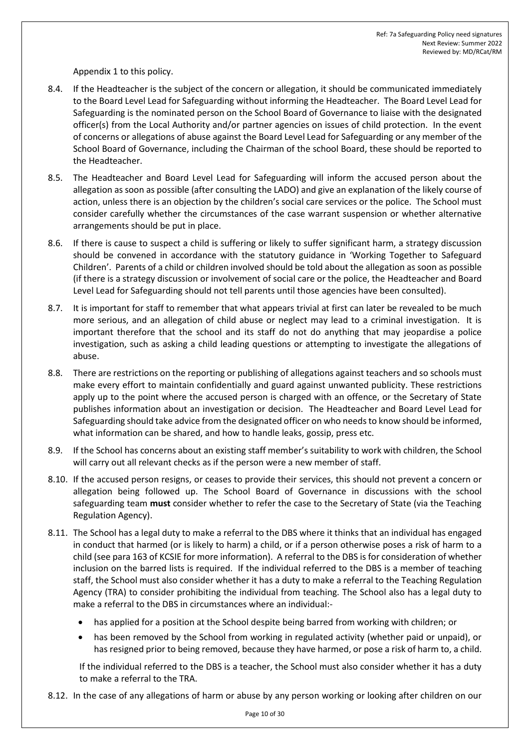Appendix 1 to this policy.

- 8.4. If the Headteacher is the subject of the concern or allegation, it should be communicated immediately to the Board Level Lead for Safeguarding without informing the Headteacher. The Board Level Lead for Safeguarding is the nominated person on the School Board of Governance to liaise with the designated officer(s) from the Local Authority and/or partner agencies on issues of child protection. In the event of concerns or allegations of abuse against the Board Level Lead for Safeguarding or any member of the School Board of Governance, including the Chairman of the school Board, these should be reported to the Headteacher.
- 8.5. The Headteacher and Board Level Lead for Safeguarding will inform the accused person about the allegation as soon as possible (after consulting the LADO) and give an explanation of the likely course of action, unless there is an objection by the children's social care services or the police. The School must consider carefully whether the circumstances of the case warrant suspension or whether alternative arrangements should be put in place.
- 8.6. If there is cause to suspect a child is suffering or likely to suffer significant harm, a strategy discussion should be convened in accordance with the statutory guidance in 'Working Together to Safeguard Children'. Parents of a child or children involved should be told about the allegation as soon as possible (if there is a strategy discussion or involvement of social care or the police, the Headteacher and Board Level Lead for Safeguarding should not tell parents until those agencies have been consulted).
- 8.7. It is important for staff to remember that what appears trivial at first can later be revealed to be much more serious, and an allegation of child abuse or neglect may lead to a criminal investigation. It is important therefore that the school and its staff do not do anything that may jeopardise a police investigation, such as asking a child leading questions or attempting to investigate the allegations of abuse.
- 8.8. There are restrictions on the reporting or publishing of allegations against teachers and so schools must make every effort to maintain confidentially and guard against unwanted publicity. These restrictions apply up to the point where the accused person is charged with an offence, or the Secretary of State publishes information about an investigation or decision. The Headteacher and Board Level Lead for Safeguarding should take advice from the designated officer on who needs to know should be informed, what information can be shared, and how to handle leaks, gossip, press etc.
- 8.9. If the School has concerns about an existing staff member's suitability to work with children, the School will carry out all relevant checks as if the person were a new member of staff.
- 8.10. If the accused person resigns, or ceases to provide their services, this should not prevent a concern or allegation being followed up. The School Board of Governance in discussions with the school safeguarding team **must** consider whether to refer the case to the Secretary of State (via the Teaching Regulation Agency).
- 8.11. The School has a legal duty to make a referral to the DBS where it thinks that an individual has engaged in conduct that harmed (or is likely to harm) a child, or if a person otherwise poses a risk of harm to a child (see para 163 of KCSIE for more information). A referral to the DBS is for consideration of whether inclusion on the barred lists is required. If the individual referred to the DBS is a member of teaching staff, the School must also consider whether it has a duty to make a referral to the Teaching Regulation Agency (TRA) to consider prohibiting the individual from teaching. The School also has a legal duty to make a referral to the DBS in circumstances where an individual:-
	- has applied for a position at the School despite being barred from working with children; or
	- has been removed by the School from working in regulated activity (whether paid or unpaid), or has resigned prior to being removed, because they have harmed, or pose a risk of harm to, a child.

If the individual referred to the DBS is a teacher, the School must also consider whether it has a duty to make a referral to the TRA.

8.12. In the case of any allegations of harm or abuse by any person working or looking after children on our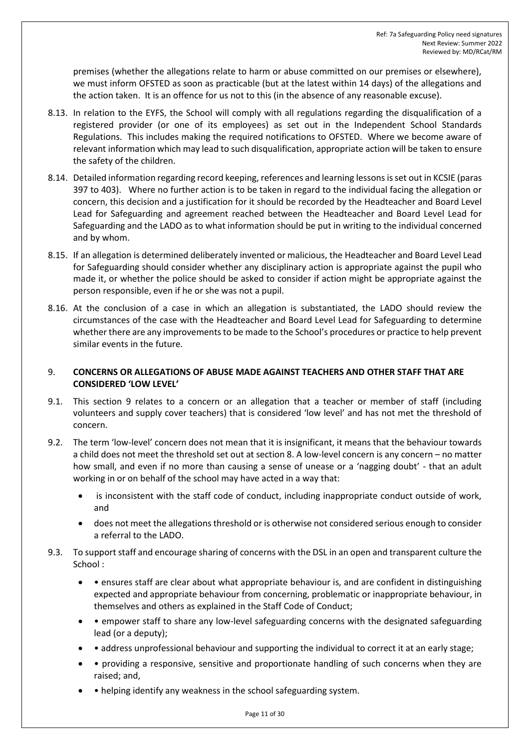premises (whether the allegations relate to harm or abuse committed on our premises or elsewhere), we must inform OFSTED as soon as practicable (but at the latest within 14 days) of the allegations and the action taken. It is an offence for us not to this (in the absence of any reasonable excuse).

- 8.13. In relation to the EYFS, the School will comply with all regulations regarding the disqualification of a registered provider (or one of its employees) as set out in the Independent School Standards Regulations. This includes making the required notifications to OFSTED. Where we become aware of relevant information which may lead to such disqualification, appropriate action will be taken to ensure the safety of the children.
- 8.14. Detailed information regarding record keeping, references and learning lessonsis set out in KCSIE (paras 397 to 403). Where no further action is to be taken in regard to the individual facing the allegation or concern, this decision and a justification for it should be recorded by the Headteacher and Board Level Lead for Safeguarding and agreement reached between the Headteacher and Board Level Lead for Safeguarding and the LADO as to what information should be put in writing to the individual concerned and by whom.
- 8.15. If an allegation is determined deliberately invented or malicious, the Headteacher and Board Level Lead for Safeguarding should consider whether any disciplinary action is appropriate against the pupil who made it, or whether the police should be asked to consider if action might be appropriate against the person responsible, even if he or she was not a pupil.
- 8.16. At the conclusion of a case in which an allegation is substantiated, the LADO should review the circumstances of the case with the Headteacher and Board Level Lead for Safeguarding to determine whether there are any improvements to be made to the School's procedures or practice to help prevent similar events in the future.

#### 9. **CONCERNS OR ALLEGATIONS OF ABUSE MADE AGAINST TEACHERS AND OTHER STAFF THAT ARE CONSIDERED 'LOW LEVEL'**

- 9.1. This section 9 relates to a concern or an allegation that a teacher or member of staff (including volunteers and supply cover teachers) that is considered 'low level' and has not met the threshold of concern.
- 9.2. The term 'low-level' concern does not mean that it is insignificant, it means that the behaviour towards a child does not meet the threshold set out at section 8. A low-level concern is any concern – no matter how small, and even if no more than causing a sense of unease or a 'nagging doubt' - that an adult working in or on behalf of the school may have acted in a way that:
	- is inconsistent with the staff code of conduct, including inappropriate conduct outside of work, and
	- does not meet the allegations threshold or is otherwise not considered serious enough to consider a referral to the LADO.
- 9.3. To support staff and encourage sharing of concerns with the DSL in an open and transparent culture the School :
	- • ensures staff are clear about what appropriate behaviour is, and are confident in distinguishing expected and appropriate behaviour from concerning, problematic or inappropriate behaviour, in themselves and others as explained in the Staff Code of Conduct;
	- • empower staff to share any low-level safeguarding concerns with the designated safeguarding lead (or a deputy);
	- • address unprofessional behaviour and supporting the individual to correct it at an early stage;
	- • providing a responsive, sensitive and proportionate handling of such concerns when they are raised; and,
	- • helping identify any weakness in the school safeguarding system.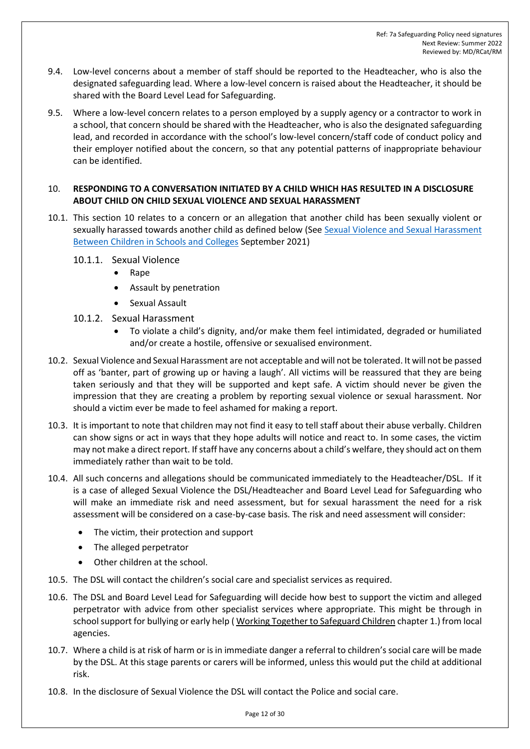- 9.4. Low-level concerns about a member of staff should be reported to the Headteacher, who is also the designated safeguarding lead. Where a low-level concern is raised about the Headteacher, it should be shared with the Board Level Lead for Safeguarding.
- 9.5. Where a low-level concern relates to a person employed by a supply agency or a contractor to work in a school, that concern should be shared with the Headteacher, who is also the designated safeguarding lead, and recorded in accordance with the school's low-level concern/staff code of conduct policy and their employer notified about the concern, so that any potential patterns of inappropriate behaviour can be identified.

#### 10. **RESPONDING TO A CONVERSATION INITIATED BY A CHILD WHICH HAS RESULTED IN A DISCLOSURE ABOUT CHILD ON CHILD SEXUAL VIOLENCE AND SEXUAL HARASSMENT**

- 10.1. This section 10 relates to a concern or an allegation that another child has been sexually violent or sexually harassed towards another child as defined below (See [Sexual Violence and Sexual Harassment](https://assets.publishing.service.gov.uk/government/uploads/system/uploads/attachment_data/file/999239/SVSH_2021.pdf)  [Between Children in Schools and Colleges](https://assets.publishing.service.gov.uk/government/uploads/system/uploads/attachment_data/file/999239/SVSH_2021.pdf) September 2021)
	- 10.1.1. Sexual Violence
		- Rape
		- Assault by penetration
		- Sexual Assault
	- 10.1.2. Sexual Harassment
		- To violate a child's dignity, and/or make them feel intimidated, degraded or humiliated and/or create a hostile, offensive or sexualised environment.
- 10.2. Sexual Violence and Sexual Harassment are not acceptable and will not be tolerated. It will not be passed off as 'banter, part of growing up or having a laugh'. All victims will be reassured that they are being taken seriously and that they will be supported and kept safe. A victim should never be given the impression that they are creating a problem by reporting sexual violence or sexual harassment. Nor should a victim ever be made to feel ashamed for making a report.
- 10.3. It is important to note that children may not find it easy to tell staff about their abuse verbally. Children can show signs or act in ways that they hope adults will notice and react to. In some cases, the victim may not make a direct report. If staff have any concerns about a child's welfare, they should act on them immediately rather than wait to be told.
- 10.4. All such concerns and allegations should be communicated immediately to the Headteacher/DSL. If it is a case of alleged Sexual Violence the DSL/Headteacher and Board Level Lead for Safeguarding who will make an immediate risk and need assessment, but for sexual harassment the need for a risk assessment will be considered on a case-by-case basis. The risk and need assessment will consider:
	- The victim, their protection and support
	- The alleged perpetrator
	- Other children at the school.
- 10.5. The DSL will contact the children's social care and specialist services as required.
- 10.6. The DSL and Board Level Lead for Safeguarding will decide how best to support the victim and alleged perpetrator with advice from other specialist services where appropriate. This might be through in school support for bullying or early help [\( Working Together to Safeguard Children](https://assets.publishing.service.gov.uk/government/uploads/system/uploads/attachment_data/file/722305/Working_Together_to_Safeguard_Children_-_Guide.pdf) chapter 1.) from local agencies.
- 10.7. Where a child is at risk of harm or is in immediate danger a referral to children's social care will be made by the DSL. At this stage parents or carers will be informed, unless this would put the child at additional risk.
- 10.8. In the disclosure of Sexual Violence the DSL will contact the Police and social care.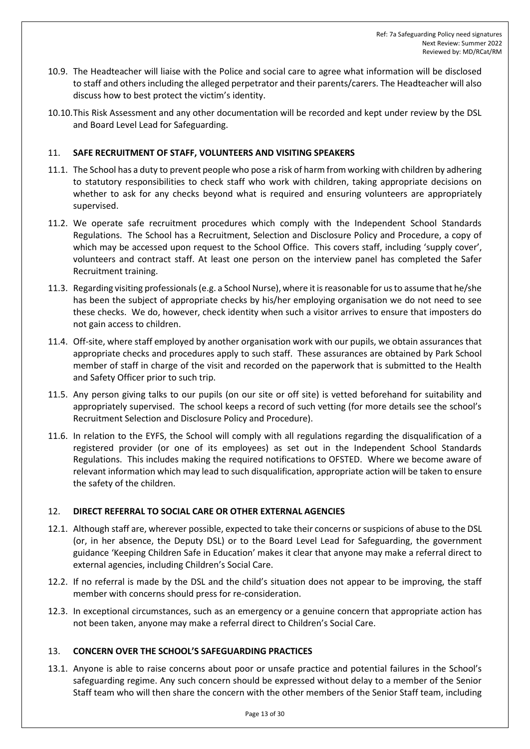- 10.9. The Headteacher will liaise with the Police and social care to agree what information will be disclosed to staff and others including the alleged perpetrator and their parents/carers. The Headteacher will also discuss how to best protect the victim's identity.
- 10.10.This Risk Assessment and any other documentation will be recorded and kept under review by the DSL and Board Level Lead for Safeguarding.

#### 11. **SAFE RECRUITMENT OF STAFF, VOLUNTEERS AND VISITING SPEAKERS**

- 11.1. The School has a duty to prevent people who pose a risk of harm from working with children by adhering to statutory responsibilities to check staff who work with children, taking appropriate decisions on whether to ask for any checks beyond what is required and ensuring volunteers are appropriately supervised.
- 11.2. We operate safe recruitment procedures which comply with the Independent School Standards Regulations. The School has a Recruitment, Selection and Disclosure Policy and Procedure, a copy of which may be accessed upon request to the School Office. This covers staff, including 'supply cover', volunteers and contract staff. At least one person on the interview panel has completed the Safer Recruitment training.
- 11.3. Regarding visiting professionals (e.g. a School Nurse), where it is reasonable for us to assume that he/she has been the subject of appropriate checks by his/her employing organisation we do not need to see these checks. We do, however, check identity when such a visitor arrives to ensure that imposters do not gain access to children.
- 11.4. Off-site, where staff employed by another organisation work with our pupils, we obtain assurances that appropriate checks and procedures apply to such staff. These assurances are obtained by Park School member of staff in charge of the visit and recorded on the paperwork that is submitted to the Health and Safety Officer prior to such trip.
- 11.5. Any person giving talks to our pupils (on our site or off site) is vetted beforehand for suitability and appropriately supervised. The school keeps a record of such vetting (for more details see the school's Recruitment Selection and Disclosure Policy and Procedure).
- 11.6. In relation to the EYFS, the School will comply with all regulations regarding the disqualification of a registered provider (or one of its employees) as set out in the Independent School Standards Regulations. This includes making the required notifications to OFSTED. Where we become aware of relevant information which may lead to such disqualification, appropriate action will be taken to ensure the safety of the children.

#### 12. **DIRECT REFERRAL TO SOCIAL CARE OR OTHER EXTERNAL AGENCIES**

- 12.1. Although staff are, wherever possible, expected to take their concerns or suspicions of abuse to the DSL (or, in her absence, the Deputy DSL) or to the Board Level Lead for Safeguarding, the government guidance 'Keeping Children Safe in Education' makes it clear that anyone may make a referral direct to external agencies, including Children's Social Care.
- 12.2. If no referral is made by the DSL and the child's situation does not appear to be improving, the staff member with concerns should press for re-consideration.
- 12.3. In exceptional circumstances, such as an emergency or a genuine concern that appropriate action has not been taken, anyone may make a referral direct to Children's Social Care.

#### 13. **CONCERN OVER THE SCHOOL'S SAFEGUARDING PRACTICES**

13.1. Anyone is able to raise concerns about poor or unsafe practice and potential failures in the School's safeguarding regime. Any such concern should be expressed without delay to a member of the Senior Staff team who will then share the concern with the other members of the Senior Staff team, including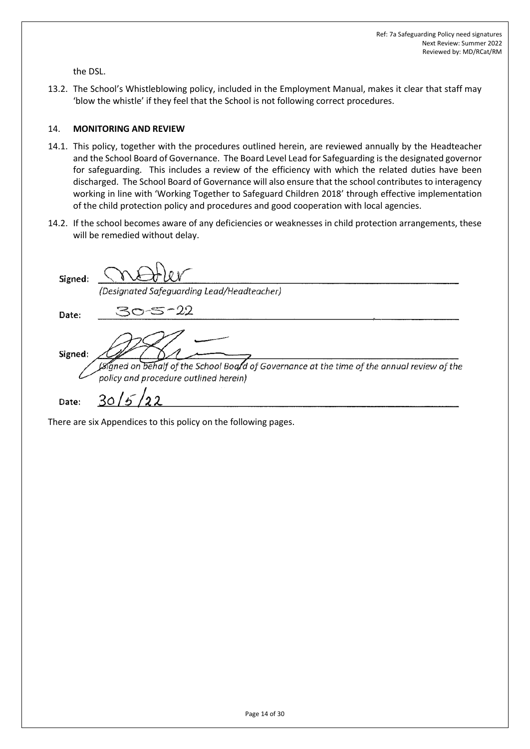the DSL.

13.2. The School's Whistleblowing policy, included in the Employment Manual, makes it clear that staff may 'blow the whistle' if they feel that the School is not following correct procedures.

#### 14. **MONITORING AND REVIEW**

- 14.1. This policy, together with the procedures outlined herein, are reviewed annually by the Headteacher and the School Board of Governance. The Board Level Lead for Safeguarding is the designated governor for safeguarding. This includes a review of the efficiency with which the related duties have been discharged. The School Board of Governance will also ensure that the school contributes to interagency working in line with 'Working Together to Safeguard Children 2018' through effective implementation of the child protection policy and procedures and good cooperation with local agencies.
- 14.2. If the school becomes aware of any deficiencies or weaknesses in child protection arrangements, these will be remedied without delay.

| Signed: |                                                                                                                                     |
|---------|-------------------------------------------------------------------------------------------------------------------------------------|
|         | (Designated Safeguarding Lead/Headteacher)                                                                                          |
| Date:   | $30 - 5 - 22$                                                                                                                       |
| Signed: | Signed on behalf of the School Board of Governance at the time of the annual review of the<br>policy and procedure outlined herein) |
| Date:   |                                                                                                                                     |

There are six Appendices to this policy on the following pages.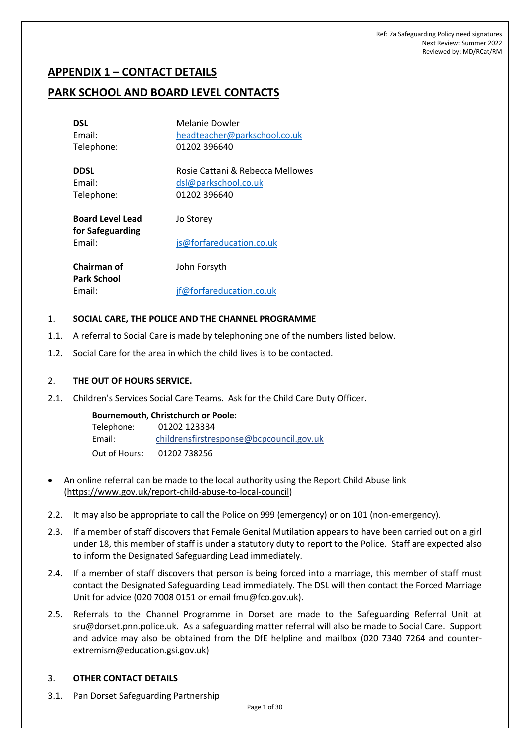Ref: 7a Safeguarding Policy need signatures Next Review: Summer 2022 Reviewed by: MD/RCat/RM

## **APPENDIX 1 – CONTACT DETAILS**

#### **PARK SCHOOL AND BOARD LEVEL CONTACTS**

| DSL<br>Email:<br>Telephone:       | Melanie Dowler<br>headteacher@parkschool.co.uk<br>01202 396640           |
|-----------------------------------|--------------------------------------------------------------------------|
| DDSL<br>Fmail:<br>Telephone:      | Rosie Cattani & Rebecca Mellowes<br>dsl@parkschool.co.uk<br>01202 396640 |
| <b>Board Level Lead</b>           | Jo Storey                                                                |
| for Safeguarding<br>Email:        | js@forfareducation.co.uk                                                 |
| Chairman of<br><b>Park School</b> | John Forsyth                                                             |
| Email:                            | jf@forfareducation.co.uk                                                 |

#### 1. **SOCIAL CARE, THE POLICE AND THE CHANNEL PROGRAMME**

- 1.1. A referral to Social Care is made by telephoning one of the numbers listed below.
- 1.2. Social Care for the area in which the child lives is to be contacted.

#### 2. **THE OUT OF HOURS SERVICE.**

2.1. Children's Services Social Care Teams. Ask for the Child Care Duty Officer.

#### **Bournemouth, Christchurch or Poole:**

| Telephone:    | 01202 123334                             |
|---------------|------------------------------------------|
| Email:        | childrensfirstresponse@bcpcouncil.gov.uk |
| Out of Hours: | 01202 738256                             |

- An online referral can be made to the local authority using the Report Child Abuse link [\(https://www.gov.uk/report-child-abuse-to-local-council\)](https://www.gov.uk/report-child-abuse-to-local-council)
- 2.2. It may also be appropriate to call the Police on 999 (emergency) or on 101 (non-emergency).
- 2.3. If a member of staff discovers that Female Genital Mutilation appears to have been carried out on a girl under 18, this member of staff is under a statutory duty to report to the Police. Staff are expected also to inform the Designated Safeguarding Lead immediately.
- 2.4. If a member of staff discovers that person is being forced into a marriage, this member of staff must contact the Designated Safeguarding Lead immediately. The DSL will then contact the Forced Marriage Unit for advice (020 7008 0151 or email fmu@fco.gov.uk).
- 2.5. Referrals to the Channel Programme in Dorset are made to the Safeguarding Referral Unit at sru@dorset.pnn.police.uk. As a safeguarding matter referral will also be made to Social Care. Support and advice may also be obtained from the DfE helpline and mailbox (020 7340 7264 and counterextremism@education.gsi.gov.uk)

#### 3. **OTHER CONTACT DETAILS**

3.1. Pan Dorset Safeguarding Partnership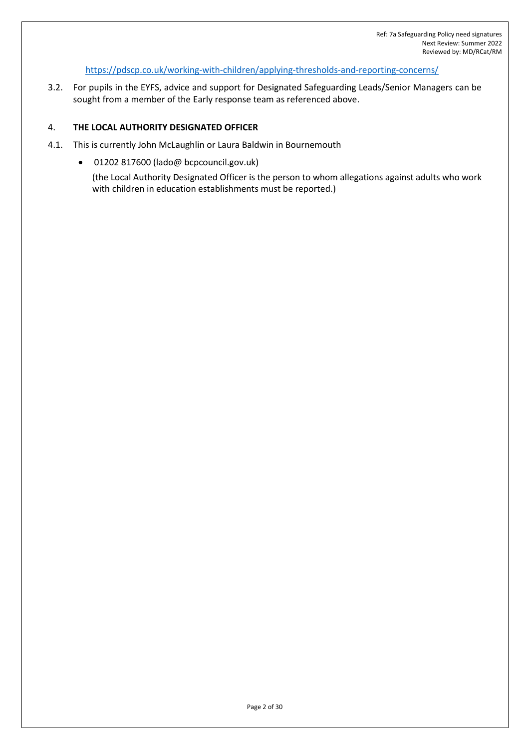#### <https://pdscp.co.uk/working-with-children/applying-thresholds-and-reporting-concerns/>

3.2. For pupils in the EYFS, advice and support for Designated Safeguarding Leads/Senior Managers can be sought from a member of the Early response team as referenced above.

#### 4. **THE LOCAL AUTHORITY DESIGNATED OFFICER**

- 4.1. This is currently John McLaughlin or Laura Baldwin in Bournemouth
	- 01202 817600 (lado@ bcpcouncil.gov.uk)

(the Local Authority Designated Officer is the person to whom allegations against adults who work with children in education establishments must be reported.)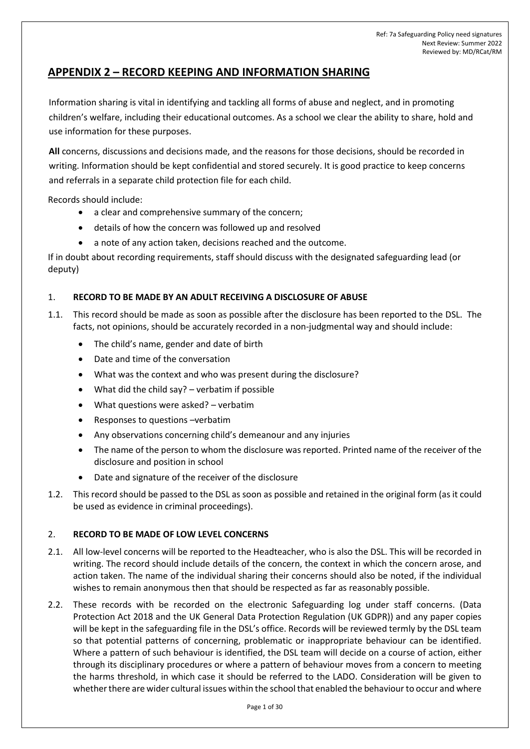## **APPENDIX 2 – RECORD KEEPING AND INFORMATION SHARING**

Information sharing is vital in identifying and tackling all forms of abuse and neglect, and in promoting children's welfare, including their educational outcomes. As a school we clear the ability to share, hold and use information for these purposes.

**All** concerns, discussions and decisions made, and the reasons for those decisions, should be recorded in writing. Information should be kept confidential and stored securely. It is good practice to keep concerns and referrals in a separate child protection file for each child.

Records should include:

- a clear and comprehensive summary of the concern;
- details of how the concern was followed up and resolved
- a note of any action taken, decisions reached and the outcome.

If in doubt about recording requirements, staff should discuss with the designated safeguarding lead (or deputy)

#### 1. **RECORD TO BE MADE BY AN ADULT RECEIVING A DISCLOSURE OF ABUSE**

- 1.1. This record should be made as soon as possible after the disclosure has been reported to the DSL. The facts, not opinions, should be accurately recorded in a non-judgmental way and should include:
	- The child's name, gender and date of birth
	- Date and time of the conversation
	- What was the context and who was present during the disclosure?
	- What did the child say? verbatim if possible
	- What questions were asked? verbatim
	- Responses to questions –verbatim
	- Any observations concerning child's demeanour and any injuries
	- The name of the person to whom the disclosure was reported. Printed name of the receiver of the disclosure and position in school
	- Date and signature of the receiver of the disclosure
- 1.2. This record should be passed to the DSL as soon as possible and retained in the original form (as it could be used as evidence in criminal proceedings).

#### 2. **RECORD TO BE MADE OF LOW LEVEL CONCERNS**

- 2.1. All low-level concerns will be reported to the Headteacher, who is also the DSL. This will be recorded in writing. The record should include details of the concern, the context in which the concern arose, and action taken. The name of the individual sharing their concerns should also be noted, if the individual wishes to remain anonymous then that should be respected as far as reasonably possible.
- 2.2. These records with be recorded on the electronic Safeguarding log under staff concerns. (Data Protection Act 2018 and the UK General Data Protection Regulation (UK GDPR)) and any paper copies will be kept in the safeguarding file in the DSL's office. Records will be reviewed termly by the DSL team so that potential patterns of concerning, problematic or inappropriate behaviour can be identified. Where a pattern of such behaviour is identified, the DSL team will decide on a course of action, either through its disciplinary procedures or where a pattern of behaviour moves from a concern to meeting the harms threshold, in which case it should be referred to the LADO. Consideration will be given to whether there are wider cultural issues within the school that enabled the behaviour to occur and where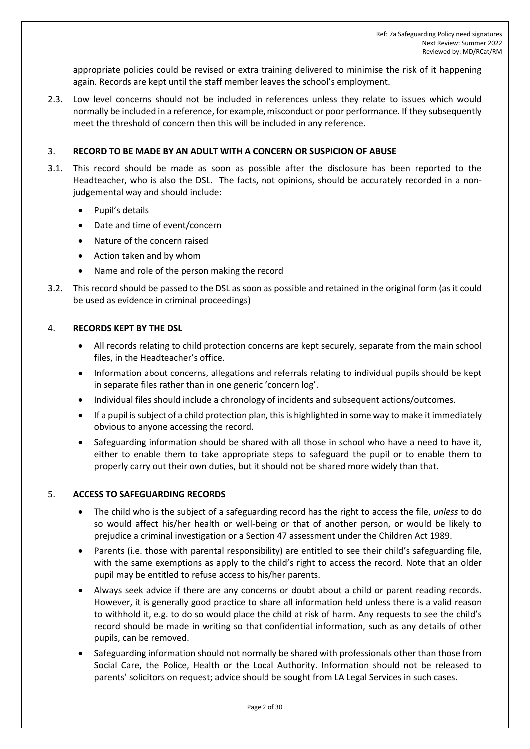appropriate policies could be revised or extra training delivered to minimise the risk of it happening again. Records are kept until the staff member leaves the school's employment.

2.3. Low level concerns should not be included in references unless they relate to issues which would normally be included in a reference, for example, misconduct or poor performance. If they subsequently meet the threshold of concern then this will be included in any reference.

#### 3. **RECORD TO BE MADE BY AN ADULT WITH A CONCERN OR SUSPICION OF ABUSE**

- 3.1. This record should be made as soon as possible after the disclosure has been reported to the Headteacher, who is also the DSL. The facts, not opinions, should be accurately recorded in a nonjudgemental way and should include:
	- Pupil's details
	- Date and time of event/concern
	- Nature of the concern raised
	- Action taken and by whom
	- Name and role of the person making the record
- 3.2. This record should be passed to the DSL as soon as possible and retained in the original form (as it could be used as evidence in criminal proceedings)

#### 4. **RECORDS KEPT BY THE DSL**

- All records relating to child protection concerns are kept securely, separate from the main school files, in the Headteacher's office.
- Information about concerns, allegations and referrals relating to individual pupils should be kept in separate files rather than in one generic 'concern log'.
- Individual files should include a chronology of incidents and subsequent actions/outcomes.
- If a pupil is subject of a child protection plan, this is highlighted in some way to make it immediately obvious to anyone accessing the record.
- Safeguarding information should be shared with all those in school who have a need to have it, either to enable them to take appropriate steps to safeguard the pupil or to enable them to properly carry out their own duties, but it should not be shared more widely than that.

#### 5. **ACCESS TO SAFEGUARDING RECORDS**

- The child who is the subject of a safeguarding record has the right to access the file, *unless* to do so would affect his/her health or well-being or that of another person, or would be likely to prejudice a criminal investigation or a Section 47 assessment under the Children Act 1989.
- Parents (i.e. those with parental responsibility) are entitled to see their child's safeguarding file, with the same exemptions as apply to the child's right to access the record. Note that an older pupil may be entitled to refuse access to his/her parents.
- Always seek advice if there are any concerns or doubt about a child or parent reading records. However, it is generally good practice to share all information held unless there is a valid reason to withhold it, e.g. to do so would place the child at risk of harm. Any requests to see the child's record should be made in writing so that confidential information, such as any details of other pupils, can be removed.
- Safeguarding information should not normally be shared with professionals other than those from Social Care, the Police, Health or the Local Authority. Information should not be released to parents' solicitors on request; advice should be sought from LA Legal Services in such cases.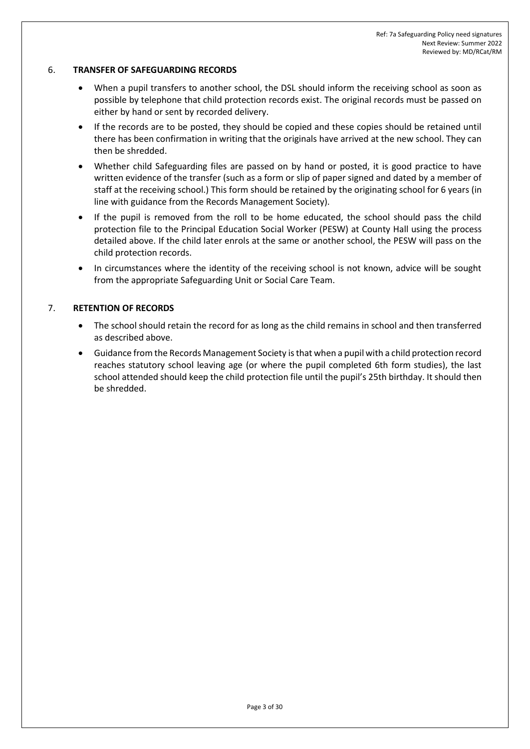#### 6. **TRANSFER OF SAFEGUARDING RECORDS**

- When a pupil transfers to another school, the DSL should inform the receiving school as soon as possible by telephone that child protection records exist. The original records must be passed on either by hand or sent by recorded delivery.
- If the records are to be posted, they should be copied and these copies should be retained until there has been confirmation in writing that the originals have arrived at the new school. They can then be shredded.
- Whether child Safeguarding files are passed on by hand or posted, it is good practice to have written evidence of the transfer (such as a form or slip of paper signed and dated by a member of staff at the receiving school.) This form should be retained by the originating school for 6 years (in line with guidance from the Records Management Society).
- If the pupil is removed from the roll to be home educated, the school should pass the child protection file to the Principal Education Social Worker (PESW) at County Hall using the process detailed above. If the child later enrols at the same or another school, the PESW will pass on the child protection records.
- In circumstances where the identity of the receiving school is not known, advice will be sought from the appropriate Safeguarding Unit or Social Care Team.

#### 7. **RETENTION OF RECORDS**

- The school should retain the record for as long as the child remains in school and then transferred as described above.
- Guidance from the Records Management Society is that when a pupil with a child protection record reaches statutory school leaving age (or where the pupil completed 6th form studies), the last school attended should keep the child protection file until the pupil's 25th birthday. It should then be shredded.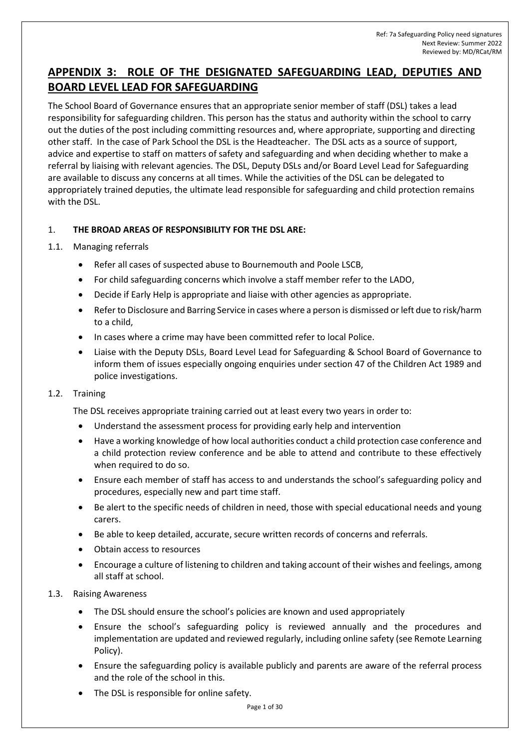# **APPENDIX 3: ROLE OF THE DESIGNATED SAFEGUARDING LEAD, DEPUTIES AND BOARD LEVEL LEAD FOR SAFEGUARDING**

The School Board of Governance ensures that an appropriate senior member of staff (DSL) takes a lead responsibility for safeguarding children. This person has the status and authority within the school to carry out the duties of the post including committing resources and, where appropriate, supporting and directing other staff. In the case of Park School the DSL is the Headteacher. The DSL acts as a source of support, advice and expertise to staff on matters of safety and safeguarding and when deciding whether to make a referral by liaising with relevant agencies. The DSL, Deputy DSLs and/or Board Level Lead for Safeguarding are available to discuss any concerns at all times. While the activities of the DSL can be delegated to appropriately trained deputies, the ultimate lead responsible for safeguarding and child protection remains with the DSL.

#### 1. **THE BROAD AREAS OF RESPONSIBILITY FOR THE DSL ARE:**

#### 1.1. Managing referrals

- Refer all cases of suspected abuse to Bournemouth and Poole LSCB,
- For child safeguarding concerns which involve a staff member refer to the LADO,
- Decide if Early Help is appropriate and liaise with other agencies as appropriate.
- Refer to Disclosure and Barring Service in cases where a person is dismissed or left due to risk/harm to a child,
- In cases where a crime may have been committed refer to local Police.
- Liaise with the Deputy DSLs, Board Level Lead for Safeguarding & School Board of Governance to inform them of issues especially ongoing enquiries under section 47 of the Children Act 1989 and police investigations.

#### 1.2. Training

The DSL receives appropriate training carried out at least every two years in order to:

- Understand the assessment process for providing early help and intervention
- Have a working knowledge of how local authorities conduct a child protection case conference and a child protection review conference and be able to attend and contribute to these effectively when required to do so.
- Ensure each member of staff has access to and understands the school's safeguarding policy and procedures, especially new and part time staff.
- Be alert to the specific needs of children in need, those with special educational needs and young carers.
- Be able to keep detailed, accurate, secure written records of concerns and referrals.
- Obtain access to resources
- Encourage a culture of listening to children and taking account of their wishes and feelings, among all staff at school.

#### 1.3. Raising Awareness

- The DSL should ensure the school's policies are known and used appropriately
- Ensure the school's safeguarding policy is reviewed annually and the procedures and implementation are updated and reviewed regularly, including online safety (see Remote Learning Policy).
- Ensure the safeguarding policy is available publicly and parents are aware of the referral process and the role of the school in this.
- The DSL is responsible for online safety.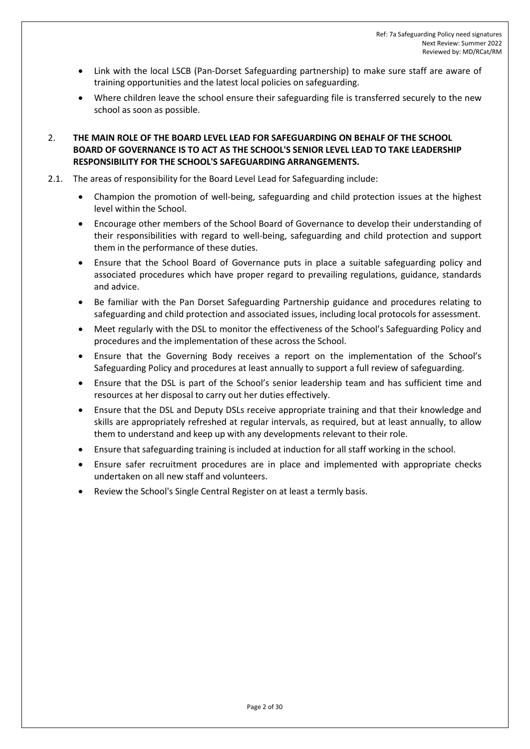- Link with the local LSCB (Pan-Dorset Safeguarding partnership) to make sure staff are aware of training opportunities and the latest local policies on safeguarding.
- Where children leave the school ensure their safeguarding file is transferred securely to the new school as soon as possible.

#### 2. **THE MAIN ROLE OF THE BOARD LEVEL LEAD FOR SAFEGUARDING ON BEHALF OF THE SCHOOL BOARD OF GOVERNANCE IS TO ACT AS THE SCHOOL'S SENIOR LEVEL LEAD TO TAKE LEADERSHIP RESPONSIBILITY FOR THE SCHOOL'S SAFEGUARDING ARRANGEMENTS.**

- 2.1. The areas of responsibility for the Board Level Lead for Safeguarding include:
	- Champion the promotion of well-being, safeguarding and child protection issues at the highest level within the School.
	- Encourage other members of the School Board of Governance to develop their understanding of their responsibilities with regard to well-being, safeguarding and child protection and support them in the performance of these duties.
	- Ensure that the School Board of Governance puts in place a suitable safeguarding policy and associated procedures which have proper regard to prevailing regulations, guidance, standards and advice.
	- Be familiar with the Pan Dorset Safeguarding Partnership guidance and procedures relating to safeguarding and child protection and associated issues, including local protocols for assessment.
	- Meet regularly with the DSL to monitor the effectiveness of the School's Safeguarding Policy and procedures and the implementation of these across the School.
	- Ensure that the Governing Body receives a report on the implementation of the School's Safeguarding Policy and procedures at least annually to support a full review of safeguarding.
	- Ensure that the DSL is part of the School's senior leadership team and has sufficient time and resources at her disposal to carry out her duties effectively.
	- Ensure that the DSL and Deputy DSLs receive appropriate training and that their knowledge and skills are appropriately refreshed at regular intervals, as required, but at least annually, to allow them to understand and keep up with any developments relevant to their role.
	- Ensure that safeguarding training is included at induction for all staff working in the school.
	- Ensure safer recruitment procedures are in place and implemented with appropriate checks undertaken on all new staff and volunteers.
	- Review the School's Single Central Register on at least a termly basis.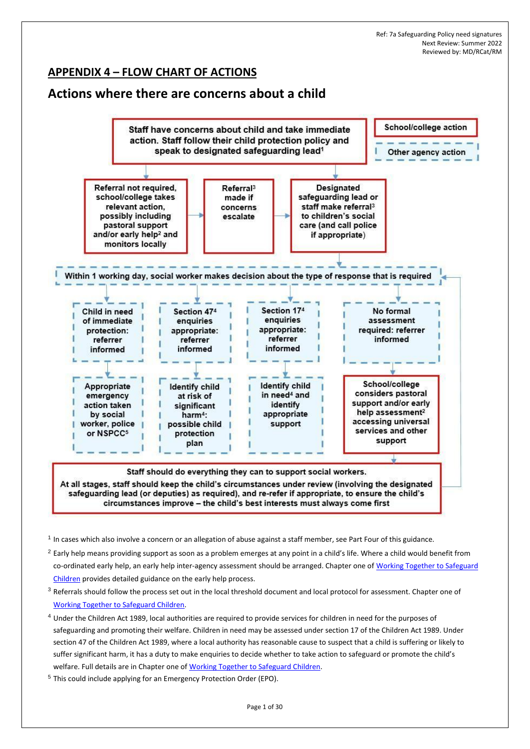## **APPENDIX 4 – FLOW CHART OF ACTIONS**

## **Actions where there are concerns about a child**



<sup>1</sup> In cases which also involve a concern or an allegation of abuse against a staff member, see Part Four of this guidance.

- <sup>2</sup> Early help means providing support as soon as a problem emerges at any point in a child's life. Where a child would benefit from co-ordinated early help, an early help inter-agency assessment should be arranged. Chapter one of Working Together to Safeguard [Children](https://www.gov.uk/government/publications/working-together-to-safeguard-children--2) provides detailed guidance on the early help process.
- <sup>3</sup> Referrals should follow the process set out in the local threshold document and local protocol for assessment. Chapter one of [Working Together to Safeguard Children.](https://www.gov.uk/government/publications/working-together-to-safeguard-children--2)
- <sup>4</sup> Under the Children Act 1989, local authorities are required to provide services for children in need for the purposes of safeguarding and promoting their welfare. Children in need may be assessed under section 17 of the Children Act 1989. Under section 47 of the Children Act 1989, where a local authority has reasonable cause to suspect that a child is suffering or likely to suffer significant harm, it has a duty to make enquiries to decide whether to take action to safeguard or promote the child's welfare. Full details are in Chapter one o[f Working Together to Safeguard Children.](https://www.gov.uk/government/publications/working-together-to-safeguard-children--2)
- <sup>5</sup> This could include applying for an Emergency Protection Order (EPO).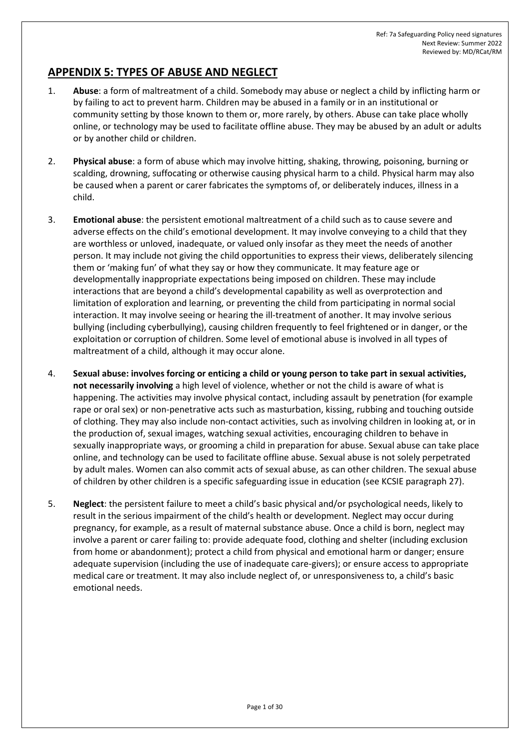# **APPENDIX 5: TYPES OF ABUSE AND NEGLECT**

- 1. **Abuse**: a form of maltreatment of a child. Somebody may abuse or neglect a child by inflicting harm or by failing to act to prevent harm. Children may be abused in a family or in an institutional or community setting by those known to them or, more rarely, by others. Abuse can take place wholly online, or technology may be used to facilitate offline abuse. They may be abused by an adult or adults or by another child or children.
- 2. **Physical abuse**: a form of abuse which may involve hitting, shaking, throwing, poisoning, burning or scalding, drowning, suffocating or otherwise causing physical harm to a child. Physical harm may also be caused when a parent or carer fabricates the symptoms of, or deliberately induces, illness in a child.
- 3. **Emotional abuse**: the persistent emotional maltreatment of a child such as to cause severe and adverse effects on the child's emotional development. It may involve conveying to a child that they are worthless or unloved, inadequate, or valued only insofar as they meet the needs of another person. It may include not giving the child opportunities to express their views, deliberately silencing them or 'making fun' of what they say or how they communicate. It may feature age or developmentally inappropriate expectations being imposed on children. These may include interactions that are beyond a child's developmental capability as well as overprotection and limitation of exploration and learning, or preventing the child from participating in normal social interaction. It may involve seeing or hearing the ill-treatment of another. It may involve serious bullying (including cyberbullying), causing children frequently to feel frightened or in danger, or the exploitation or corruption of children. Some level of emotional abuse is involved in all types of maltreatment of a child, although it may occur alone.
- 4. **Sexual abuse: involves forcing or enticing a child or young person to take part in sexual activities, not necessarily involving** a high level of violence, whether or not the child is aware of what is happening. The activities may involve physical contact, including assault by penetration (for example rape or oral sex) or non-penetrative acts such as masturbation, kissing, rubbing and touching outside of clothing. They may also include non-contact activities, such as involving children in looking at, or in the production of, sexual images, watching sexual activities, encouraging children to behave in sexually inappropriate ways, or grooming a child in preparation for abuse. Sexual abuse can take place online, and technology can be used to facilitate offline abuse. Sexual abuse is not solely perpetrated by adult males. Women can also commit acts of sexual abuse, as can other children. The sexual abuse of children by other children is a specific safeguarding issue in education (see KCSIE paragraph 27).
- 5. **Neglect**: the persistent failure to meet a child's basic physical and/or psychological needs, likely to result in the serious impairment of the child's health or development. Neglect may occur during pregnancy, for example, as a result of maternal substance abuse. Once a child is born, neglect may involve a parent or carer failing to: provide adequate food, clothing and shelter (including exclusion from home or abandonment); protect a child from physical and emotional harm or danger; ensure adequate supervision (including the use of inadequate care-givers); or ensure access to appropriate medical care or treatment. It may also include neglect of, or unresponsiveness to, a child's basic emotional needs.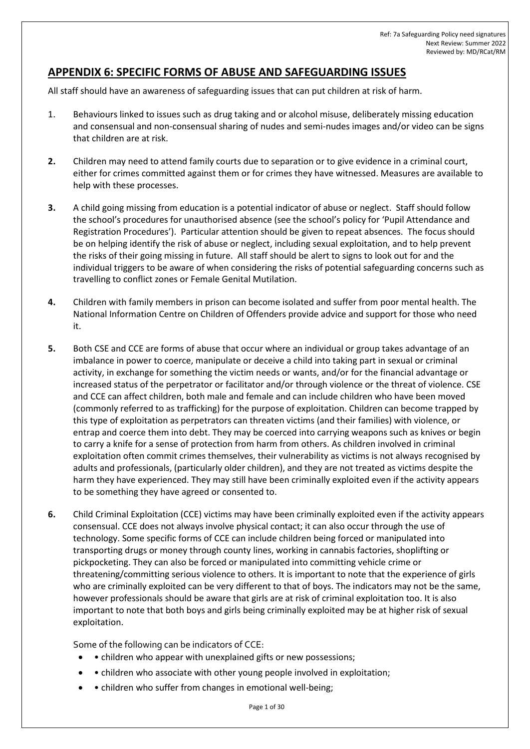## **APPENDIX 6: SPECIFIC FORMS OF ABUSE AND SAFEGUARDING ISSUES**

All staff should have an awareness of safeguarding issues that can put children at risk of harm.

- 1. Behaviours linked to issues such as drug taking and or alcohol misuse, deliberately missing education and consensual and non-consensual sharing of nudes and semi-nudes images and/or video can be signs that children are at risk.
- **2.** Children may need to attend family courts due to separation or to give evidence in a criminal court, either for crimes committed against them or for crimes they have witnessed. Measures are available to help with these processes.
- **3.** A child going missing from education is a potential indicator of abuse or neglect. Staff should follow the school's procedures for unauthorised absence (see the school's policy for 'Pupil Attendance and Registration Procedures'). Particular attention should be given to repeat absences. The focus should be on helping identify the risk of abuse or neglect, including sexual exploitation, and to help prevent the risks of their going missing in future. All staff should be alert to signs to look out for and the individual triggers to be aware of when considering the risks of potential safeguarding concerns such as travelling to conflict zones or Female Genital Mutilation.
- **4.** Children with family members in prison can become isolated and suffer from poor mental health. The National Information Centre on Children of Offenders provide advice and support for those who need it.
- **5.** Both CSE and CCE are forms of abuse that occur where an individual or group takes advantage of an imbalance in power to coerce, manipulate or deceive a child into taking part in sexual or criminal activity, in exchange for something the victim needs or wants, and/or for the financial advantage or increased status of the perpetrator or facilitator and/or through violence or the threat of violence. CSE and CCE can affect children, both male and female and can include children who have been moved (commonly referred to as trafficking) for the purpose of exploitation. Children can become trapped by this type of exploitation as perpetrators can threaten victims (and their families) with violence, or entrap and coerce them into debt. They may be coerced into carrying weapons such as knives or begin to carry a knife for a sense of protection from harm from others. As children involved in criminal exploitation often commit crimes themselves, their vulnerability as victims is not always recognised by adults and professionals, (particularly older children), and they are not treated as victims despite the harm they have experienced. They may still have been criminally exploited even if the activity appears to be something they have agreed or consented to.
- **6.** Child Criminal Exploitation (CCE) victims may have been criminally exploited even if the activity appears consensual. CCE does not always involve physical contact; it can also occur through the use of technology. Some specific forms of CCE can include children being forced or manipulated into transporting drugs or money through county lines, working in cannabis factories, shoplifting or pickpocketing. They can also be forced or manipulated into committing vehicle crime or threatening/committing serious violence to others. It is important to note that the experience of girls who are criminally exploited can be very different to that of boys. The indicators may not be the same, however professionals should be aware that girls are at risk of criminal exploitation too. It is also important to note that both boys and girls being criminally exploited may be at higher risk of sexual exploitation.

Some of the following can be indicators of CCE:

- children who appear with unexplained gifts or new possessions;
- • children who associate with other young people involved in exploitation;
- • children who suffer from changes in emotional well-being;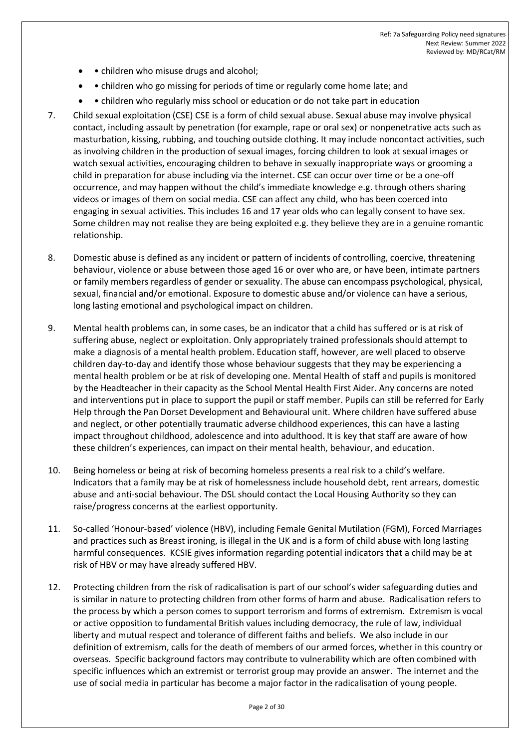- • children who misuse drugs and alcohol;
- • children who go missing for periods of time or regularly come home late; and
- • children who regularly miss school or education or do not take part in education
- 7. Child sexual exploitation (CSE) CSE is a form of child sexual abuse. Sexual abuse may involve physical contact, including assault by penetration (for example, rape or oral sex) or nonpenetrative acts such as masturbation, kissing, rubbing, and touching outside clothing. It may include noncontact activities, such as involving children in the production of sexual images, forcing children to look at sexual images or watch sexual activities, encouraging children to behave in sexually inappropriate ways or grooming a child in preparation for abuse including via the internet. CSE can occur over time or be a one-off occurrence, and may happen without the child's immediate knowledge e.g. through others sharing videos or images of them on social media. CSE can affect any child, who has been coerced into engaging in sexual activities. This includes 16 and 17 year olds who can legally consent to have sex. Some children may not realise they are being exploited e.g. they believe they are in a genuine romantic relationship.
- 8. Domestic abuse is defined as any incident or pattern of incidents of controlling, coercive, threatening behaviour, violence or abuse between those aged 16 or over who are, or have been, intimate partners or family members regardless of gender or sexuality. The abuse can encompass psychological, physical, sexual, financial and/or emotional. Exposure to domestic abuse and/or violence can have a serious, long lasting emotional and psychological impact on children.
- 9. Mental health problems can, in some cases, be an indicator that a child has suffered or is at risk of suffering abuse, neglect or exploitation. Only appropriately trained professionals should attempt to make a diagnosis of a mental health problem. Education staff, however, are well placed to observe children day-to-day and identify those whose behaviour suggests that they may be experiencing a mental health problem or be at risk of developing one. Mental Health of staff and pupils is monitored by the Headteacher in their capacity as the School Mental Health First Aider. Any concerns are noted and interventions put in place to support the pupil or staff member. Pupils can still be referred for Early Help through the Pan Dorset Development and Behavioural unit. Where children have suffered abuse and neglect, or other potentially traumatic adverse childhood experiences, this can have a lasting impact throughout childhood, adolescence and into adulthood. It is key that staff are aware of how these children's experiences, can impact on their mental health, behaviour, and education.
- 10. Being homeless or being at risk of becoming homeless presents a real risk to a child's welfare. Indicators that a family may be at risk of homelessness include household debt, rent arrears, domestic abuse and anti-social behaviour. The DSL should contact the Local Housing Authority so they can raise/progress concerns at the earliest opportunity.
- 11. So-called 'Honour-based' violence (HBV), including Female Genital Mutilation (FGM), Forced Marriages and practices such as Breast ironing, is illegal in the UK and is a form of child abuse with long lasting harmful consequences. KCSIE gives information regarding potential indicators that a child may be at risk of HBV or may have already suffered HBV.
- 12. Protecting children from the risk of radicalisation is part of our school's wider safeguarding duties and is similar in nature to protecting children from other forms of harm and abuse. Radicalisation refers to the process by which a person comes to support terrorism and forms of extremism. Extremism is vocal or active opposition to fundamental British values including democracy, the rule of law, individual liberty and mutual respect and tolerance of different faiths and beliefs. We also include in our definition of extremism, calls for the death of members of our armed forces, whether in this country or overseas. Specific background factors may contribute to vulnerability which are often combined with specific influences which an extremist or terrorist group may provide an answer. The internet and the use of social media in particular has become a major factor in the radicalisation of young people.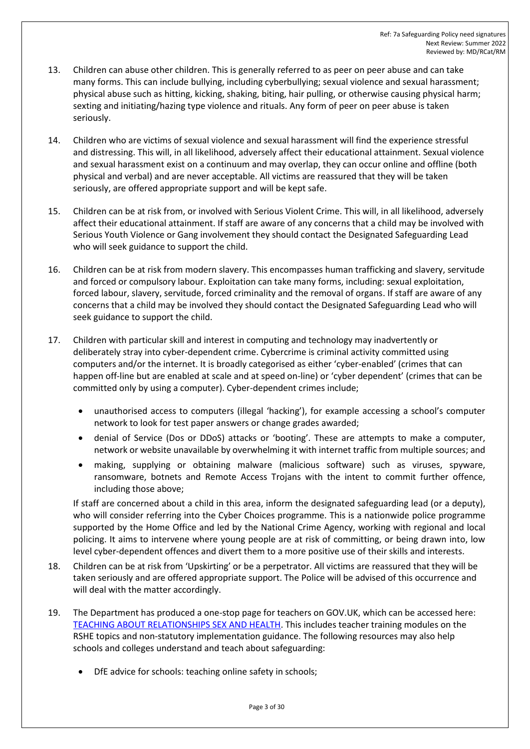- 13. Children can abuse other children. This is generally referred to as peer on peer abuse and can take many forms. This can include bullying, including cyberbullying; sexual violence and sexual harassment; physical abuse such as hitting, kicking, shaking, biting, hair pulling, or otherwise causing physical harm; sexting and initiating/hazing type violence and rituals. Any form of peer on peer abuse is taken seriously.
- 14. Children who are victims of sexual violence and sexual harassment will find the experience stressful and distressing. This will, in all likelihood, adversely affect their educational attainment. Sexual violence and sexual harassment exist on a continuum and may overlap, they can occur online and offline (both physical and verbal) and are never acceptable. All victims are reassured that they will be taken seriously, are offered appropriate support and will be kept safe.
- 15. Children can be at risk from, or involved with Serious Violent Crime. This will, in all likelihood, adversely affect their educational attainment. If staff are aware of any concerns that a child may be involved with Serious Youth Violence or Gang involvement they should contact the Designated Safeguarding Lead who will seek guidance to support the child.
- 16. Children can be at risk from modern slavery. This encompasses human trafficking and slavery, servitude and forced or compulsory labour. Exploitation can take many forms, including: sexual exploitation, forced labour, slavery, servitude, forced criminality and the removal of organs. If staff are aware of any concerns that a child may be involved they should contact the Designated Safeguarding Lead who will seek guidance to support the child.
- 17. Children with particular skill and interest in computing and technology may inadvertently or deliberately stray into cyber-dependent crime. Cybercrime is criminal activity committed using computers and/or the internet. It is broadly categorised as either 'cyber-enabled' (crimes that can happen off-line but are enabled at scale and at speed on-line) or 'cyber dependent' (crimes that can be committed only by using a computer). Cyber-dependent crimes include;
	- unauthorised access to computers (illegal 'hacking'), for example accessing a school's computer network to look for test paper answers or change grades awarded;
	- denial of Service (Dos or DDoS) attacks or 'booting'. These are attempts to make a computer, network or website unavailable by overwhelming it with internet traffic from multiple sources; and
	- making, supplying or obtaining malware (malicious software) such as viruses, spyware, ransomware, botnets and Remote Access Trojans with the intent to commit further offence, including those above;

If staff are concerned about a child in this area, inform the designated safeguarding lead (or a deputy), who will consider referring into the Cyber Choices programme. This is a nationwide police programme supported by the Home Office and led by the National Crime Agency, working with regional and local policing. It aims to intervene where young people are at risk of committing, or being drawn into, low level cyber-dependent offences and divert them to a more positive use of their skills and interests.

- 18. Children can be at risk from 'Upskirting' or be a perpetrator. All victims are reassured that they will be taken seriously and are offered appropriate support. The Police will be advised of this occurrence and will deal with the matter accordingly.
- 19. [The Department has produced a one-stop page for teachers on GOV.UK, which can be accessed here:](https://www.gov.uk/government/publications/relationships-education-relationships-and-sex-education-rse-and-health-education) [TEACHING ABOUT RELATIONSHIPS SEX AND HEALTH.](https://www.gov.uk/guidance/teaching-about-relationships-sex-and-health) This include[s teacher training modul](https://www.gov.uk/government/publications/relationships-education-relationships-and-sex-education-rse-and-health-education)es on the RSHE topics and non-statutory implementation guidance. The following resources may also help schools and colleges understand and teach about safeguarding:
	- DfE advice for schools: teaching online safety in schools;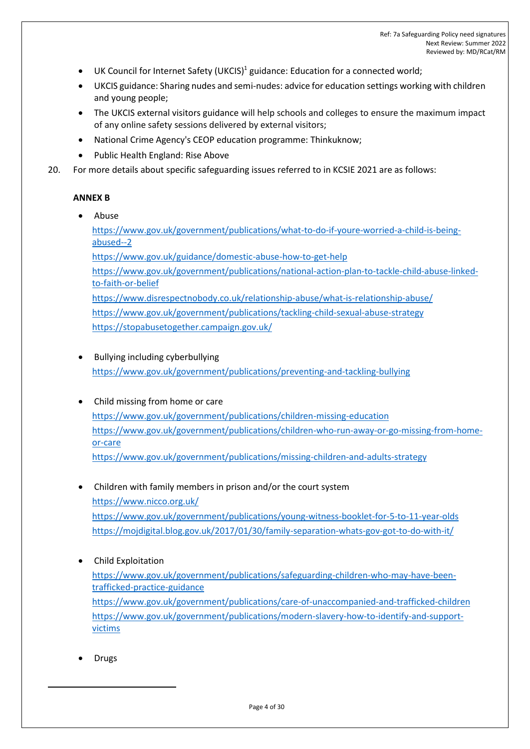- UK Council for Internet Safety (UKCIS)<sup>1</sup> guidance: Education for a connected world;
- UKCIS guidance: Sharing nudes and semi-nudes: [advice for education settings working w](https://www.gov.uk/government/publications/education-for-a-connected-world)ith children and young people;
- The UKCIS [external visitors guidance](https://www.gov.uk/government/publications/using-external-visitors-to-support-online-safety-education-guidance-for-educational-settings) [will help schools and colleges to ensure the maximum impact](https://www.gov.uk/government/publications/sharing-nudes-and-semi-nudes-advice-for-education-settings-working-with-children-and-young-people/sharing-nudes-and-semi-nudes-advice-for-education-settings-working-with-children-and-young-people)  [of any online safety](https://www.gov.uk/government/publications/sharing-nudes-and-semi-nudes-advice-for-education-settings-working-with-children-and-young-people/sharing-nudes-and-semi-nudes-advice-for-education-settings-working-with-children-and-young-people) sessions delivered by [external visitors;](https://www.gov.uk/government/publications/sharing-nudes-and-semi-nudes-advice-for-education-settings-working-with-children-and-young-people/sharing-nudes-and-semi-nudes-advice-for-education-settings-working-with-children-and-young-people)
- National Crime Agency's CEOP education programme: [Thinkuknow;](https://www.thinkuknow.co.uk/)
- Public Health England[: Rise Above](https://campaignresources.phe.gov.uk/schools/topics/rise-above/overview)
- 20. For more details about specific safeguarding issues referred to in [KCSIE](https://assets.publishing.service.gov.uk/government/uploads/system/uploads/attachment_data/file/999348/Keeping_children_safe_in_education_2021.pdf) 2021 are as follows:

#### **ANNEX B**

• Abuse

[https://www.gov.uk/government/publications/what-to-do-if-youre-worried-a-child-is-being](https://www.gov.uk/government/publications/what-to-do-if-youre-worried-a-child-is-being-abused--2)[abused--2](https://www.gov.uk/government/publications/what-to-do-if-youre-worried-a-child-is-being-abused--2)

<https://www.gov.uk/guidance/domestic-abuse-how-to-get-help> [https://www.gov.uk/government/publications/national-action-plan-to-tackle-child-abuse-linked](https://www.gov.uk/government/publications/national-action-plan-to-tackle-child-abuse-linked-to-faith-or-belief)[to-faith-or-belief](https://www.gov.uk/government/publications/national-action-plan-to-tackle-child-abuse-linked-to-faith-or-belief) <https://www.disrespectnobody.co.uk/relationship-abuse/what-is-relationship-abuse/> <https://www.gov.uk/government/publications/tackling-child-sexual-abuse-strategy>

<https://stopabusetogether.campaign.gov.uk/>

• Bullying including cyberbullying

<https://www.gov.uk/government/publications/preventing-and-tackling-bullying>

- Child missing from home or care <https://www.gov.uk/government/publications/children-missing-education> [https://www.gov.uk/government/publications/children-who-run-away-or-go-missing-from-home](https://www.gov.uk/government/publications/children-who-run-away-or-go-missing-from-home-or-care)[or-care](https://www.gov.uk/government/publications/children-who-run-away-or-go-missing-from-home-or-care) <https://www.gov.uk/government/publications/missing-children-and-adults-strategy>
- Children with family members in prison and/or the court system <https://www.nicco.org.uk/> <https://www.gov.uk/government/publications/young-witness-booklet-for-5-to-11-year-olds> <https://mojdigital.blog.gov.uk/2017/01/30/family-separation-whats-gov-got-to-do-with-it/>
- Child Exploitation

[https://www.gov.uk/government/publications/safeguarding-children-who-may-have-been](https://www.gov.uk/government/publications/safeguarding-children-who-may-have-been-trafficked-practice-guidance)[trafficked-practice-guidance](https://www.gov.uk/government/publications/safeguarding-children-who-may-have-been-trafficked-practice-guidance) <https://www.gov.uk/government/publications/care-of-unaccompanied-and-trafficked-children> [https://www.gov.uk/government/publications/modern-slavery-how-to-identify-and-support](https://www.gov.uk/government/publications/modern-slavery-how-to-identify-and-support-victims)[victims](https://www.gov.uk/government/publications/modern-slavery-how-to-identify-and-support-victims)

**Drugs**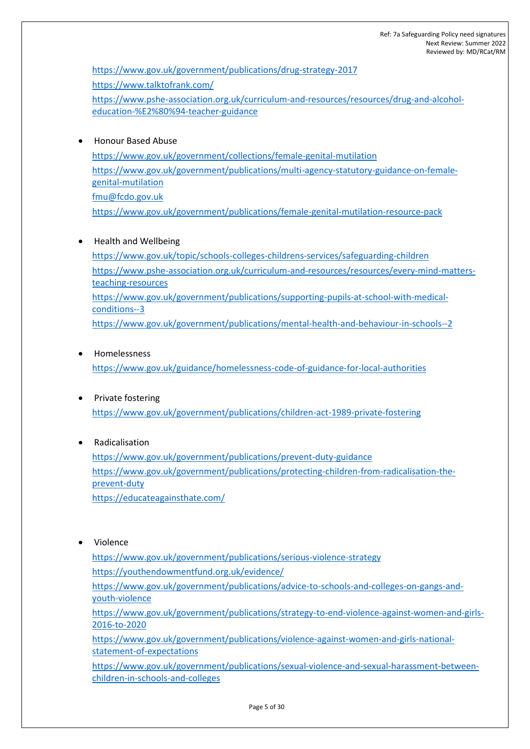<https://www.gov.uk/government/publications/drug-strategy-2017> <https://www.talktofrank.com/> [https://www.pshe-association.org.uk/curriculum-and-resources/resources/drug-and-alcohol](https://www.pshe-association.org.uk/curriculum-and-resources/resources/drug-and-alcohol-education-%E2%80%94-teacher-guidance)[education-%E2%80%94-teacher-guidance](https://www.pshe-association.org.uk/curriculum-and-resources/resources/drug-and-alcohol-education-%E2%80%94-teacher-guidance)

• Honour Based Abuse

<https://www.gov.uk/government/collections/female-genital-mutilation> [https://www.gov.uk/government/publications/multi-agency-statutory-guidance-on-female](https://www.gov.uk/government/publications/multi-agency-statutory-guidance-on-female-genital-mutilation)[genital-mutilation](https://www.gov.uk/government/publications/multi-agency-statutory-guidance-on-female-genital-mutilation) [fmu@fcdo.gov.uk](mailto:fmu@fcdo.gov.uk) <https://www.gov.uk/government/publications/female-genital-mutilation-resource-pack>

• Health and Wellbeing

<https://www.gov.uk/topic/schools-colleges-childrens-services/safeguarding-children> [https://www.pshe-association.org.uk/curriculum-and-resources/resources/every-mind-matters](https://www.pshe-association.org.uk/curriculum-and-resources/resources/every-mind-matters-teaching-resources)[teaching-resources](https://www.pshe-association.org.uk/curriculum-and-resources/resources/every-mind-matters-teaching-resources) [https://www.gov.uk/government/publications/supporting-pupils-at-school-with-medical](https://www.gov.uk/government/publications/supporting-pupils-at-school-with-medical-conditions--3)[conditions--3](https://www.gov.uk/government/publications/supporting-pupils-at-school-with-medical-conditions--3) <https://www.gov.uk/government/publications/mental-health-and-behaviour-in-schools--2>

• Homelessness

<https://www.gov.uk/guidance/homelessness-code-of-guidance-for-local-authorities>

• Private fostering

<https://www.gov.uk/government/publications/children-act-1989-private-fostering>

**Radicalisation** 

<https://www.gov.uk/government/publications/prevent-duty-guidance> [https://www.gov.uk/government/publications/protecting-children-from-radicalisation-the](https://www.gov.uk/government/publications/protecting-children-from-radicalisation-the-prevent-duty)[prevent-duty](https://www.gov.uk/government/publications/protecting-children-from-radicalisation-the-prevent-duty) <https://educateagainsthate.com/>

• Violence

<https://www.gov.uk/government/publications/serious-violence-strategy> <https://youthendowmentfund.org.uk/evidence/> [https://www.gov.uk/government/publications/advice-to-schools-and-colleges-on-gangs-and](https://www.gov.uk/government/publications/advice-to-schools-and-colleges-on-gangs-and-youth-violence)[youth-violence](https://www.gov.uk/government/publications/advice-to-schools-and-colleges-on-gangs-and-youth-violence) [https://www.gov.uk/government/publications/strategy-to-end-violence-against-women-and-girls-](https://www.gov.uk/government/publications/strategy-to-end-violence-against-women-and-girls-2016-to-2020)[2016-to-2020](https://www.gov.uk/government/publications/strategy-to-end-violence-against-women-and-girls-2016-to-2020)

[https://www.gov.uk/government/publications/violence-against-women-and-girls-national](https://www.gov.uk/government/publications/violence-against-women-and-girls-national-statement-of-expectations)[statement-of-expectations](https://www.gov.uk/government/publications/violence-against-women-and-girls-national-statement-of-expectations)

[https://www.gov.uk/government/publications/sexual-violence-and-sexual-harassment-between](https://www.gov.uk/government/publications/sexual-violence-and-sexual-harassment-between-children-in-schools-and-colleges)[children-in-schools-and-colleges](https://www.gov.uk/government/publications/sexual-violence-and-sexual-harassment-between-children-in-schools-and-colleges)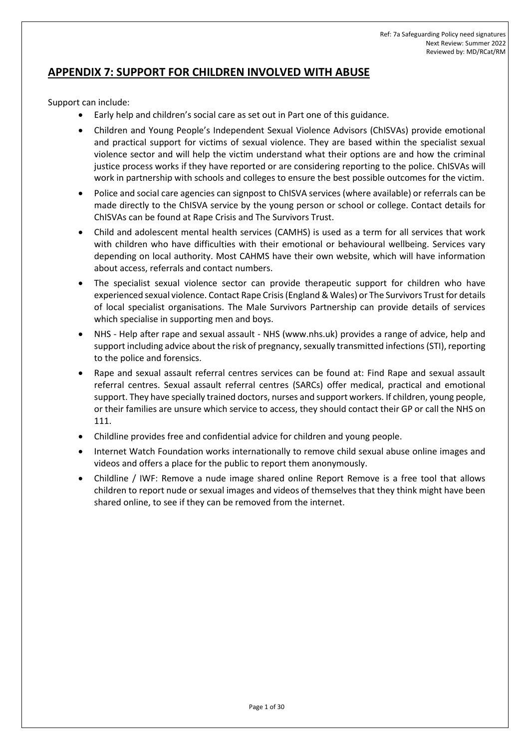## **APPENDIX 7: SUPPORT FOR CHILDREN INVOLVED WITH ABUSE**

Support can include:

- Early help and children's social care as set out in Part one of this guidance.
- Children and Young People's Independent Sexual Violence Advisors (ChISVAs) provide emotional and practical support for victims of sexual violence. They are based within the specialist sexual violence sector and will help the victim understand what their options are and how the criminal justice process works if they have reported or are considering reporting to the police. ChISVAs will work in partnership with schools and colleges to ensure the best possible outcomes for the victim.
- Police and social care agencies can signpost to ChISVA services (where available) or referrals can be made directly to the ChISVA service by the young person or school or college. Contact details for ChISVAs can be found at Rape Crisis and The Survivors Trust.
- Child and adolescent mental health services (CAMHS) is used as a term for all services that work with children who have difficulties with their emotional or behavioural wellbeing. Services vary depending on local authority. Most CAHMS have their own website, which will have information about access, referrals and contact numbers.
- The specialist sexual violence sector can provide therapeutic support for children who have experienced sexual violence. Contact Rape Crisis (England & Wales) or The Survivors Trust for details of local specialist organisations. The Male Survivors Partnership can provide details of services which specialise in supporting men and boys.
- NHS Help after rape and sexual assault NHS (www.nhs.uk) provides a range of advice, help and support including advice about the risk of pregnancy, sexually transmitted infections (STI), reporting to the police and forensics.
- Rape and sexual assault referral centres services can be found at: Find Rape and sexual assault referral centres. Sexual assault referral centres (SARCs) offer medical, practical and emotional support. They have specially trained doctors, nurses and support workers. If children, young people, or their families are unsure which service to access, they should contact their GP or call the NHS on 111.
- Childline provides free and confidential advice for children and young people.
- Internet Watch Foundation works internationally to remove child sexual abuse online images and videos and offers a place for the public to report them anonymously.
- Childline / IWF: Remove a nude image shared online Report Remove is a free tool that allows children to report nude or sexual images and videos of themselves that they think might have been shared online, to see if they can be removed from the internet.